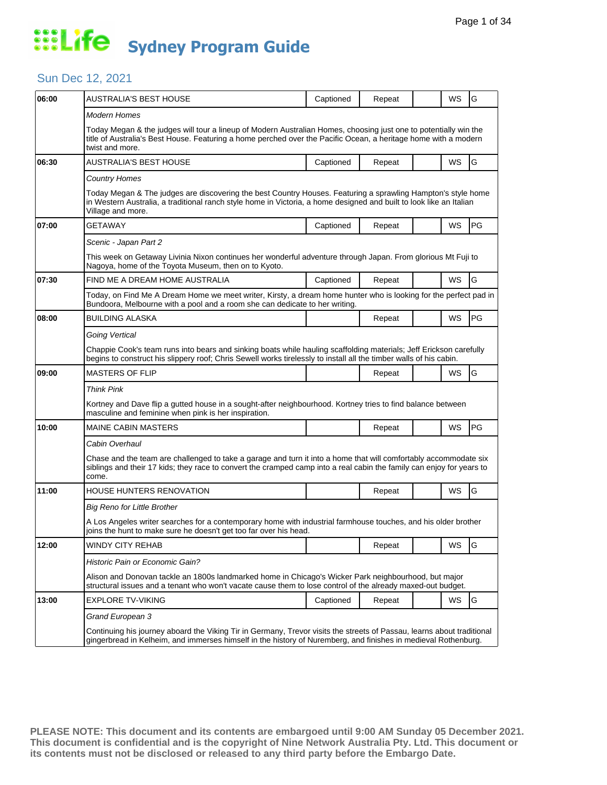#### Sun Dec 12, 2021

| 06:00 | AUSTRALIA'S BEST HOUSE                                                                                                                                                                                                                                   | Captioned | Repeat |  | WS        | G             |  |  |
|-------|----------------------------------------------------------------------------------------------------------------------------------------------------------------------------------------------------------------------------------------------------------|-----------|--------|--|-----------|---------------|--|--|
|       | Modern Homes                                                                                                                                                                                                                                             |           |        |  |           |               |  |  |
|       | Today Megan & the judges will tour a lineup of Modern Australian Homes, choosing just one to potentially win the<br>title of Australia's Best House. Featuring a home perched over the Pacific Ocean, a heritage home with a modern<br>twist and more.   |           |        |  |           |               |  |  |
| 06:30 | AUSTRALIA'S BEST HOUSE                                                                                                                                                                                                                                   | Captioned | Repeat |  | WS        | ${\mathsf G}$ |  |  |
|       | <b>Country Homes</b>                                                                                                                                                                                                                                     |           |        |  |           |               |  |  |
|       | Today Megan & The judges are discovering the best Country Houses. Featuring a sprawling Hampton's style home<br>in Western Australia, a traditional ranch style home in Victoria, a home designed and built to look like an Italian<br>Village and more. |           |        |  |           |               |  |  |
| 07:00 | GETAWAY                                                                                                                                                                                                                                                  | Captioned | Repeat |  | WS        | PG            |  |  |
|       | Scenic - Japan Part 2                                                                                                                                                                                                                                    |           |        |  |           |               |  |  |
|       | This week on Getaway Livinia Nixon continues her wonderful adventure through Japan. From glorious Mt Fuji to<br>Nagoya, home of the Toyota Museum, then on to Kyoto.                                                                                     |           |        |  |           |               |  |  |
| 07:30 | FIND ME A DREAM HOME AUSTRALIA                                                                                                                                                                                                                           | Captioned | Repeat |  | WS        | G             |  |  |
|       | Today, on Find Me A Dream Home we meet writer, Kirsty, a dream home hunter who is looking for the perfect pad in<br>Bundoora, Melbourne with a pool and a room she can dedicate to her writing.                                                          |           |        |  |           |               |  |  |
| 08:00 | <b>BUILDING ALASKA</b>                                                                                                                                                                                                                                   |           | Repeat |  | WS        | PG            |  |  |
|       | Going Vertical                                                                                                                                                                                                                                           |           |        |  |           |               |  |  |
|       | Chappie Cook's team runs into bears and sinking boats while hauling scaffolding materials; Jeff Erickson carefully<br>begins to construct his slippery roof; Chris Sewell works tirelessly to install all the timber walls of his cabin.                 |           |        |  |           |               |  |  |
| 09:00 | <b>MASTERS OF FLIP</b>                                                                                                                                                                                                                                   |           | Repeat |  | WS        | G             |  |  |
|       | <b>Think Pink</b>                                                                                                                                                                                                                                        |           |        |  |           |               |  |  |
|       | Kortney and Dave flip a gutted house in a sought-after neighbourhood. Kortney tries to find balance between<br>masculine and feminine when pink is her inspiration.                                                                                      |           |        |  |           |               |  |  |
| 10:00 | <b>MAINE CABIN MASTERS</b>                                                                                                                                                                                                                               |           | Repeat |  | WS        | PG            |  |  |
|       | Cabin Overhaul                                                                                                                                                                                                                                           |           |        |  |           |               |  |  |
|       | Chase and the team are challenged to take a garage and turn it into a home that will comfortably accommodate six<br>siblings and their 17 kids; they race to convert the cramped camp into a real cabin the family can enjoy for years to<br>come.       |           |        |  |           |               |  |  |
| 11:00 | HOUSE HUNTERS RENOVATION                                                                                                                                                                                                                                 |           | Repeat |  | WS        | G             |  |  |
|       | Big Reno for Little Brother                                                                                                                                                                                                                              |           |        |  |           |               |  |  |
|       | A Los Angeles writer searches for a contemporary home with industrial farmhouse touches, and his older brother<br>joins the hunt to make sure he doesn't get too far over his head.                                                                      |           |        |  |           |               |  |  |
| 12:00 | <b>WINDY CITY REHAB</b>                                                                                                                                                                                                                                  |           | Repeat |  | <b>WS</b> | G             |  |  |
|       | Historic Pain or Economic Gain?                                                                                                                                                                                                                          |           |        |  |           |               |  |  |
|       | Alison and Donovan tackle an 1800s landmarked home in Chicago's Wicker Park neighbourhood, but major<br>structural issues and a tenant who won't vacate cause them to lose control of the already maxed-out budget.                                      |           |        |  |           |               |  |  |
| 13:00 | <b>EXPLORE TV-VIKING</b>                                                                                                                                                                                                                                 | Captioned | Repeat |  | WS        | G             |  |  |
|       | Grand European 3                                                                                                                                                                                                                                         |           |        |  |           |               |  |  |
|       | Continuing his journey aboard the Viking Tir in Germany, Trevor visits the streets of Passau, learns about traditional<br>gingerbread in Kelheim, and immerses himself in the history of Nuremberg, and finishes in medieval Rothenburg.                 |           |        |  |           |               |  |  |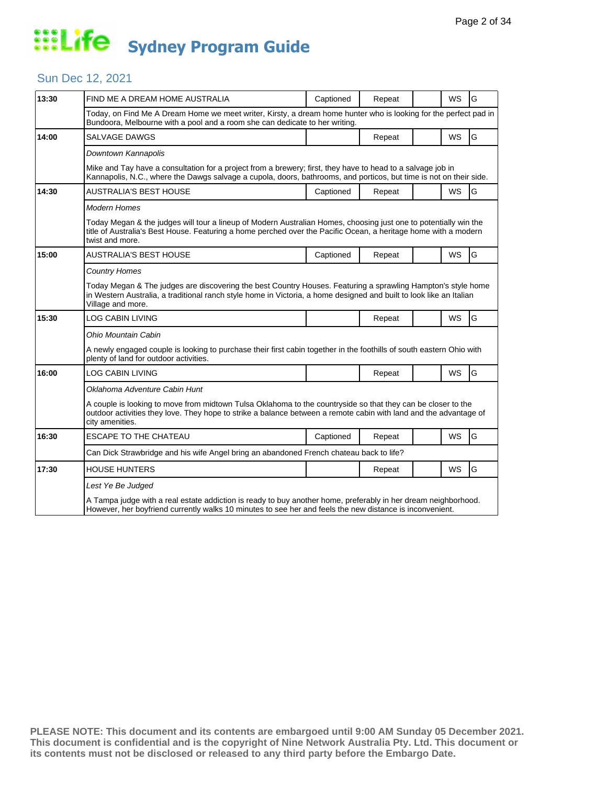#### Sun Dec 12, 2021

| 13:30 | FIND ME A DREAM HOME AUSTRALIA                                                                                                                                                                                                                           | Captioned | Repeat |  | <b>WS</b> | G |  |  |
|-------|----------------------------------------------------------------------------------------------------------------------------------------------------------------------------------------------------------------------------------------------------------|-----------|--------|--|-----------|---|--|--|
|       | Today, on Find Me A Dream Home we meet writer, Kirsty, a dream home hunter who is looking for the perfect pad in<br>Bundoora, Melbourne with a pool and a room she can dedicate to her writing.                                                          |           |        |  |           |   |  |  |
| 14:00 | <b>SALVAGE DAWGS</b>                                                                                                                                                                                                                                     |           | Repeat |  | <b>WS</b> | G |  |  |
|       | Downtown Kannapolis                                                                                                                                                                                                                                      |           |        |  |           |   |  |  |
|       | Mike and Tay have a consultation for a project from a brewery; first, they have to head to a salvage job in<br>Kannapolis, N.C., where the Dawgs salvage a cupola, doors, bathrooms, and porticos, but time is not on their side.                        |           |        |  |           |   |  |  |
| 14:30 | <b>AUSTRALIA'S BEST HOUSE</b>                                                                                                                                                                                                                            | Captioned | Repeat |  | <b>WS</b> | G |  |  |
|       | <b>Modern Homes</b>                                                                                                                                                                                                                                      |           |        |  |           |   |  |  |
|       | Today Megan & the judges will tour a lineup of Modern Australian Homes, choosing just one to potentially win the<br>title of Australia's Best House. Featuring a home perched over the Pacific Ocean, a heritage home with a modern<br>twist and more.   |           |        |  |           |   |  |  |
| 15:00 | AUSTRALIA'S BEST HOUSE                                                                                                                                                                                                                                   | Captioned | Repeat |  | WS        | G |  |  |
|       | <b>Country Homes</b>                                                                                                                                                                                                                                     |           |        |  |           |   |  |  |
|       | Today Megan & The judges are discovering the best Country Houses. Featuring a sprawling Hampton's style home<br>in Western Australia, a traditional ranch style home in Victoria, a home designed and built to look like an Italian<br>Village and more. |           |        |  |           |   |  |  |
| 15:30 | LOG CABIN LIVING                                                                                                                                                                                                                                         |           | Repeat |  | WS        | G |  |  |
|       | Ohio Mountain Cabin                                                                                                                                                                                                                                      |           |        |  |           |   |  |  |
|       | A newly engaged couple is looking to purchase their first cabin together in the foothills of south eastern Ohio with<br>plenty of land for outdoor activities.                                                                                           |           |        |  |           |   |  |  |
| 16:00 | <b>LOG CABIN LIVING</b>                                                                                                                                                                                                                                  |           | Repeat |  | <b>WS</b> | G |  |  |
|       | Oklahoma Adventure Cabin Hunt                                                                                                                                                                                                                            |           |        |  |           |   |  |  |
|       | A couple is looking to move from midtown Tulsa Oklahoma to the countryside so that they can be closer to the<br>outdoor activities they love. They hope to strike a balance between a remote cabin with land and the advantage of<br>city amenities.     |           |        |  |           |   |  |  |
| 16:30 | <b>ESCAPE TO THE CHATEAU</b>                                                                                                                                                                                                                             | Captioned | Repeat |  | <b>WS</b> | G |  |  |
|       | Can Dick Strawbridge and his wife Angel bring an abandoned French chateau back to life?                                                                                                                                                                  |           |        |  |           |   |  |  |
| 17:30 | <b>HOUSE HUNTERS</b>                                                                                                                                                                                                                                     |           | Repeat |  | <b>WS</b> | G |  |  |
|       | Lest Ye Be Judged                                                                                                                                                                                                                                        |           |        |  |           |   |  |  |
|       | A Tampa judge with a real estate addiction is ready to buy another home, preferably in her dream neighborhood.<br>However, her boyfriend currently walks 10 minutes to see her and feels the new distance is inconvenient.                               |           |        |  |           |   |  |  |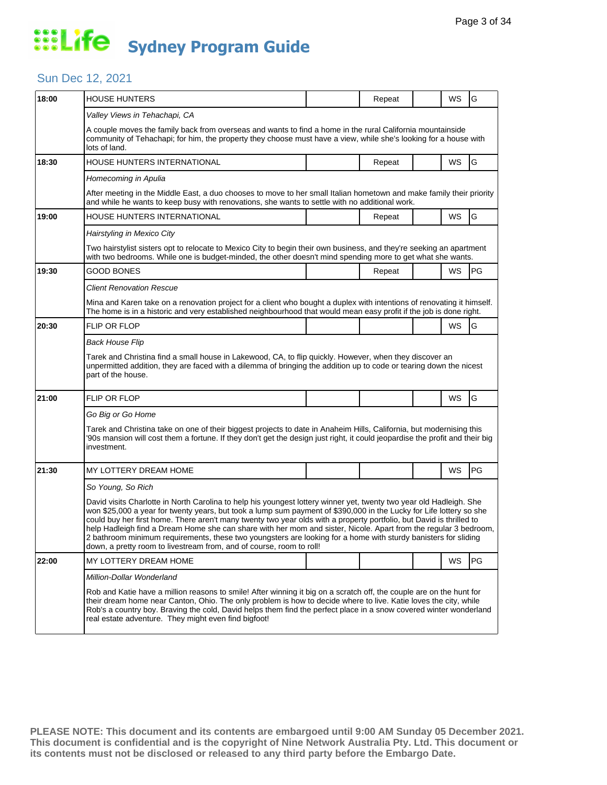#### Sun Dec 12, 2021

| 18:00 | <b>HOUSE HUNTERS</b>                                                                                                                                                                                                                                                                                                                                                                                                                                                                                                                                                                                                                                                             |  | Repeat |  | WS | G         |  |  |
|-------|----------------------------------------------------------------------------------------------------------------------------------------------------------------------------------------------------------------------------------------------------------------------------------------------------------------------------------------------------------------------------------------------------------------------------------------------------------------------------------------------------------------------------------------------------------------------------------------------------------------------------------------------------------------------------------|--|--------|--|----|-----------|--|--|
|       | Valley Views in Tehachapi, CA                                                                                                                                                                                                                                                                                                                                                                                                                                                                                                                                                                                                                                                    |  |        |  |    |           |  |  |
|       | A couple moves the family back from overseas and wants to find a home in the rural California mountainside<br>community of Tehachapi; for him, the property they choose must have a view, while she's looking for a house with<br>lots of land.                                                                                                                                                                                                                                                                                                                                                                                                                                  |  |        |  |    |           |  |  |
| 18:30 | HOUSE HUNTERS INTERNATIONAL                                                                                                                                                                                                                                                                                                                                                                                                                                                                                                                                                                                                                                                      |  | Repeat |  | WS | G         |  |  |
|       | Homecoming in Apulia                                                                                                                                                                                                                                                                                                                                                                                                                                                                                                                                                                                                                                                             |  |        |  |    |           |  |  |
|       | After meeting in the Middle East, a duo chooses to move to her small Italian hometown and make family their priority<br>and while he wants to keep busy with renovations, she wants to settle with no additional work.                                                                                                                                                                                                                                                                                                                                                                                                                                                           |  |        |  |    |           |  |  |
| 19:00 | HOUSE HUNTERS INTERNATIONAL                                                                                                                                                                                                                                                                                                                                                                                                                                                                                                                                                                                                                                                      |  | Repeat |  | WS | G         |  |  |
|       | Hairstyling in Mexico City                                                                                                                                                                                                                                                                                                                                                                                                                                                                                                                                                                                                                                                       |  |        |  |    |           |  |  |
|       | Two hairstylist sisters opt to relocate to Mexico City to begin their own business, and they're seeking an apartment<br>with two bedrooms. While one is budget-minded, the other doesn't mind spending more to get what she wants.                                                                                                                                                                                                                                                                                                                                                                                                                                               |  |        |  |    |           |  |  |
| 19:30 | <b>GOOD BONES</b>                                                                                                                                                                                                                                                                                                                                                                                                                                                                                                                                                                                                                                                                |  | Repeat |  | WS | <b>PG</b> |  |  |
|       | <b>Client Renovation Rescue</b>                                                                                                                                                                                                                                                                                                                                                                                                                                                                                                                                                                                                                                                  |  |        |  |    |           |  |  |
|       | Mina and Karen take on a renovation project for a client who bought a duplex with intentions of renovating it himself.<br>The home is in a historic and very established neighbourhood that would mean easy profit if the job is done right.                                                                                                                                                                                                                                                                                                                                                                                                                                     |  |        |  |    |           |  |  |
| 20:30 | <b>FLIP OR FLOP</b>                                                                                                                                                                                                                                                                                                                                                                                                                                                                                                                                                                                                                                                              |  |        |  | WS | G         |  |  |
|       | <b>Back House Flip</b>                                                                                                                                                                                                                                                                                                                                                                                                                                                                                                                                                                                                                                                           |  |        |  |    |           |  |  |
|       | Tarek and Christina find a small house in Lakewood, CA, to flip quickly. However, when they discover an<br>unpermitted addition, they are faced with a dilemma of bringing the addition up to code or tearing down the nicest<br>part of the house.                                                                                                                                                                                                                                                                                                                                                                                                                              |  |        |  |    |           |  |  |
| 21:00 | FLIP OR FLOP                                                                                                                                                                                                                                                                                                                                                                                                                                                                                                                                                                                                                                                                     |  |        |  | WS | G         |  |  |
|       | Go Big or Go Home                                                                                                                                                                                                                                                                                                                                                                                                                                                                                                                                                                                                                                                                |  |        |  |    |           |  |  |
|       | Tarek and Christina take on one of their biggest projects to date in Anaheim Hills, California, but modernising this<br>90s mansion will cost them a fortune. If they don't get the design just right, it could jeopardise the profit and their big<br>investment.                                                                                                                                                                                                                                                                                                                                                                                                               |  |        |  |    |           |  |  |
| 21:30 | MY LOTTERY DREAM HOME                                                                                                                                                                                                                                                                                                                                                                                                                                                                                                                                                                                                                                                            |  |        |  | WS | PG        |  |  |
|       | So Young, So Rich                                                                                                                                                                                                                                                                                                                                                                                                                                                                                                                                                                                                                                                                |  |        |  |    |           |  |  |
|       | David visits Charlotte in North Carolina to help his youngest lottery winner yet, twenty two year old Hadleigh. She<br>won \$25,000 a year for twenty years, but took a lump sum payment of \$390,000 in the Lucky for Life lottery so she<br>could buy her first home. There aren't many twenty two year olds with a property portfolio, but David is thrilled to<br>help Hadleigh find a Dream Home she can share with her mom and sister, Nicole. Apart from the regular 3 bedroom,<br>2 bathroom minimum requirements, these two youngsters are looking for a home with sturdy banisters for sliding<br>down, a pretty room to livestream from, and of course, room to roll! |  |        |  |    |           |  |  |
| 22:00 | MY LOTTERY DREAM HOME                                                                                                                                                                                                                                                                                                                                                                                                                                                                                                                                                                                                                                                            |  |        |  | WS | <b>PG</b> |  |  |
|       | Million-Dollar Wonderland                                                                                                                                                                                                                                                                                                                                                                                                                                                                                                                                                                                                                                                        |  |        |  |    |           |  |  |
|       | Rob and Katie have a million reasons to smile! After winning it big on a scratch off, the couple are on the hunt for<br>their dream home near Canton, Ohio. The only problem is how to decide where to live. Katie loves the city, while<br>Rob's a country boy. Braving the cold, David helps them find the perfect place in a snow covered winter wonderland<br>real estate adventure. They might even find bigfoot!                                                                                                                                                                                                                                                           |  |        |  |    |           |  |  |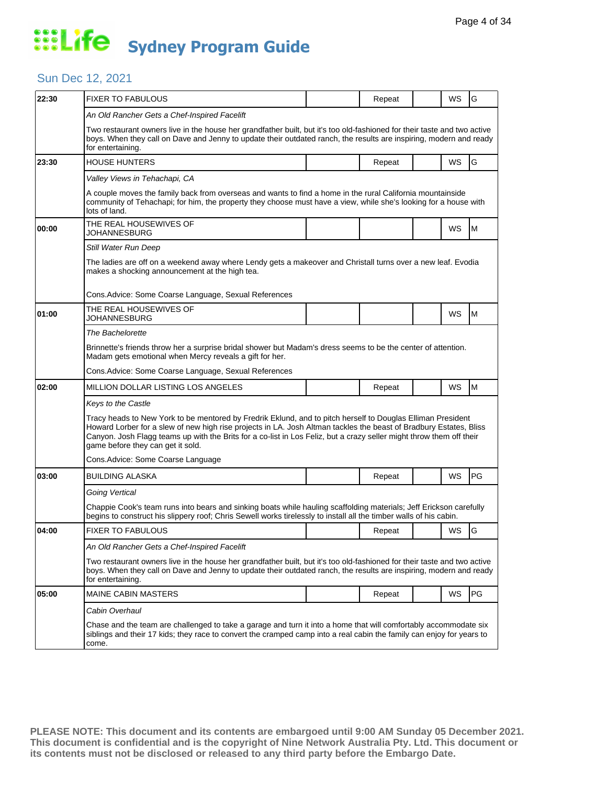#### Sun Dec 12, 2021

| 22:30 | <b>FIXER TO FABULOUS</b>                                                                                                                                                                                                                                                                                                                                                                       |  | Repeat |  | WS | G  |  |  |
|-------|------------------------------------------------------------------------------------------------------------------------------------------------------------------------------------------------------------------------------------------------------------------------------------------------------------------------------------------------------------------------------------------------|--|--------|--|----|----|--|--|
|       | An Old Rancher Gets a Chef-Inspired Facelift                                                                                                                                                                                                                                                                                                                                                   |  |        |  |    |    |  |  |
|       | Two restaurant owners live in the house her grandfather built, but it's too old-fashioned for their taste and two active<br>boys. When they call on Dave and Jenny to update their outdated ranch, the results are inspiring, modern and ready<br>for entertaining.                                                                                                                            |  |        |  |    |    |  |  |
| 23:30 | <b>HOUSE HUNTERS</b>                                                                                                                                                                                                                                                                                                                                                                           |  | Repeat |  | WS | G  |  |  |
|       | Valley Views in Tehachapi, CA                                                                                                                                                                                                                                                                                                                                                                  |  |        |  |    |    |  |  |
|       | A couple moves the family back from overseas and wants to find a home in the rural California mountainside<br>community of Tehachapi; for him, the property they choose must have a view, while she's looking for a house with<br>lots of land.                                                                                                                                                |  |        |  |    |    |  |  |
| 00:00 | THE REAL HOUSEWIVES OF<br>JOHANNESBURG                                                                                                                                                                                                                                                                                                                                                         |  |        |  | WS | M  |  |  |
|       | Still Water Run Deep                                                                                                                                                                                                                                                                                                                                                                           |  |        |  |    |    |  |  |
|       | The ladies are off on a weekend away where Lendy gets a makeover and Christall turns over a new leaf. Evodia<br>makes a shocking announcement at the high tea.                                                                                                                                                                                                                                 |  |        |  |    |    |  |  |
|       | Cons.Advice: Some Coarse Language, Sexual References                                                                                                                                                                                                                                                                                                                                           |  |        |  |    |    |  |  |
| 01:00 | THE REAL HOUSEWIVES OF<br>JOHANNESBURG                                                                                                                                                                                                                                                                                                                                                         |  |        |  | WS | M  |  |  |
|       | The Bachelorette                                                                                                                                                                                                                                                                                                                                                                               |  |        |  |    |    |  |  |
|       | Brinnette's friends throw her a surprise bridal shower but Madam's dress seems to be the center of attention.<br>Madam gets emotional when Mercy reveals a gift for her.                                                                                                                                                                                                                       |  |        |  |    |    |  |  |
|       | Cons.Advice: Some Coarse Language, Sexual References                                                                                                                                                                                                                                                                                                                                           |  |        |  |    |    |  |  |
| 02:00 | MILLION DOLLAR LISTING LOS ANGELES                                                                                                                                                                                                                                                                                                                                                             |  | Repeat |  | WS | M  |  |  |
|       | Keys to the Castle                                                                                                                                                                                                                                                                                                                                                                             |  |        |  |    |    |  |  |
|       | Tracy heads to New York to be mentored by Fredrik Eklund, and to pitch herself to Douglas Elliman President<br>Howard Lorber for a slew of new high rise projects in LA. Josh Altman tackles the beast of Bradbury Estates, Bliss<br>Canyon. Josh Flagg teams up with the Brits for a co-list in Los Feliz, but a crazy seller might throw them off their<br>game before they can get it sold. |  |        |  |    |    |  |  |
|       | Cons.Advice: Some Coarse Language                                                                                                                                                                                                                                                                                                                                                              |  |        |  |    |    |  |  |
| 03:00 | BUILDING ALASKA                                                                                                                                                                                                                                                                                                                                                                                |  | Repeat |  | WS | PG |  |  |
|       | Going Vertical                                                                                                                                                                                                                                                                                                                                                                                 |  |        |  |    |    |  |  |
|       | Chappie Cook's team runs into bears and sinking boats while hauling scaffolding materials; Jeff Erickson carefully<br>begins to construct his slippery roof; Chris Sewell works tirelessly to install all the timber walls of his cabin.                                                                                                                                                       |  |        |  |    |    |  |  |
| 04:00 | <b>FIXER TO FABULOUS</b>                                                                                                                                                                                                                                                                                                                                                                       |  | Repeat |  | WS | lG |  |  |
|       | An Old Rancher Gets a Chef-Inspired Facelift                                                                                                                                                                                                                                                                                                                                                   |  |        |  |    |    |  |  |
|       | Two restaurant owners live in the house her grandfather built, but it's too old-fashioned for their taste and two active<br>boys. When they call on Dave and Jenny to update their outdated ranch, the results are inspiring, modern and ready<br>for entertaining.                                                                                                                            |  |        |  |    |    |  |  |
| 05:00 | <b>MAINE CABIN MASTERS</b>                                                                                                                                                                                                                                                                                                                                                                     |  | Repeat |  | WS | PG |  |  |
|       | Cabin Overhaul                                                                                                                                                                                                                                                                                                                                                                                 |  |        |  |    |    |  |  |
|       | Chase and the team are challenged to take a garage and turn it into a home that will comfortably accommodate six<br>siblings and their 17 kids; they race to convert the cramped camp into a real cabin the family can enjoy for years to<br>come.                                                                                                                                             |  |        |  |    |    |  |  |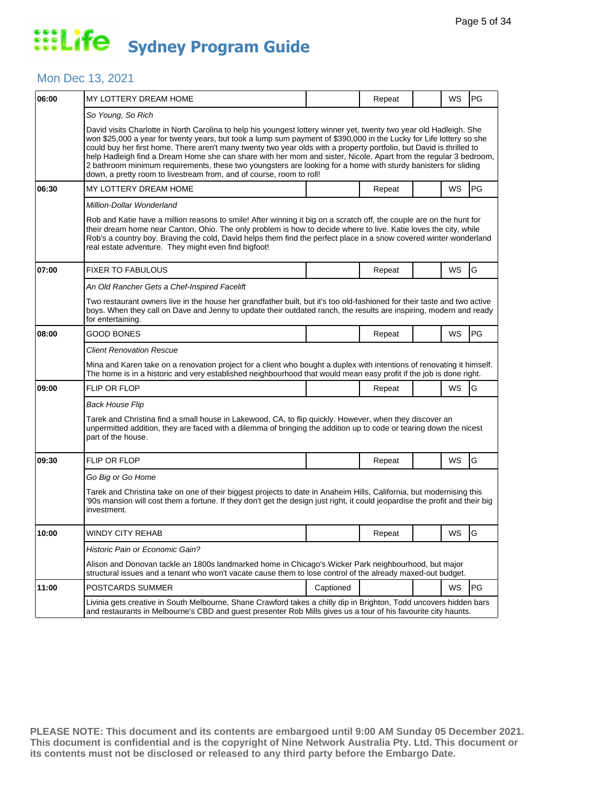#### Mon Dec 13, 2021

| 06:00 | MY LOTTERY DREAM HOME                                                                                                                                                                                                                                                                                                                                                                                                                                                                                                                                                                                                                                                            |           | Repeat |  | WS        | PG        |  |  |
|-------|----------------------------------------------------------------------------------------------------------------------------------------------------------------------------------------------------------------------------------------------------------------------------------------------------------------------------------------------------------------------------------------------------------------------------------------------------------------------------------------------------------------------------------------------------------------------------------------------------------------------------------------------------------------------------------|-----------|--------|--|-----------|-----------|--|--|
|       | So Young, So Rich                                                                                                                                                                                                                                                                                                                                                                                                                                                                                                                                                                                                                                                                |           |        |  |           |           |  |  |
|       | David visits Charlotte in North Carolina to help his youngest lottery winner yet, twenty two year old Hadleigh. She<br>won \$25,000 a year for twenty years, but took a lump sum payment of \$390,000 in the Lucky for Life lottery so she<br>could buy her first home. There aren't many twenty two year olds with a property portfolio, but David is thrilled to<br>help Hadleigh find a Dream Home she can share with her mom and sister, Nicole. Apart from the regular 3 bedroom,<br>2 bathroom minimum requirements, these two youngsters are looking for a home with sturdy banisters for sliding<br>down, a pretty room to livestream from, and of course, room to roll! |           |        |  |           |           |  |  |
| 06:30 | MY LOTTERY DREAM HOME                                                                                                                                                                                                                                                                                                                                                                                                                                                                                                                                                                                                                                                            |           | Repeat |  | WS        | PG        |  |  |
|       | Million-Dollar Wonderland                                                                                                                                                                                                                                                                                                                                                                                                                                                                                                                                                                                                                                                        |           |        |  |           |           |  |  |
|       | Rob and Katie have a million reasons to smile! After winning it big on a scratch off, the couple are on the hunt for<br>their dream home near Canton, Ohio. The only problem is how to decide where to live. Katie loves the city, while<br>Rob's a country boy. Braving the cold, David helps them find the perfect place in a snow covered winter wonderland<br>real estate adventure. They might even find bigfoot!                                                                                                                                                                                                                                                           |           |        |  |           |           |  |  |
| 07:00 | <b>FIXER TO FABULOUS</b>                                                                                                                                                                                                                                                                                                                                                                                                                                                                                                                                                                                                                                                         |           | Repeat |  | WS        | G         |  |  |
|       | An Old Rancher Gets a Chef-Inspired Facelift                                                                                                                                                                                                                                                                                                                                                                                                                                                                                                                                                                                                                                     |           |        |  |           |           |  |  |
|       | Two restaurant owners live in the house her grandfather built, but it's too old-fashioned for their taste and two active<br>boys. When they call on Dave and Jenny to update their outdated ranch, the results are inspiring, modern and ready<br>for entertaining.                                                                                                                                                                                                                                                                                                                                                                                                              |           |        |  |           |           |  |  |
| 08:00 | GOOD BONES                                                                                                                                                                                                                                                                                                                                                                                                                                                                                                                                                                                                                                                                       |           | Repeat |  | WS        | <b>PG</b> |  |  |
|       | <b>Client Renovation Rescue</b>                                                                                                                                                                                                                                                                                                                                                                                                                                                                                                                                                                                                                                                  |           |        |  |           |           |  |  |
|       | Mina and Karen take on a renovation project for a client who bought a duplex with intentions of renovating it himself.<br>The home is in a historic and very established neighbourhood that would mean easy profit if the job is done right.                                                                                                                                                                                                                                                                                                                                                                                                                                     |           |        |  |           |           |  |  |
| 09:00 | FLIP OR FLOP                                                                                                                                                                                                                                                                                                                                                                                                                                                                                                                                                                                                                                                                     |           | Repeat |  | WS        | G         |  |  |
|       | Back House Flip                                                                                                                                                                                                                                                                                                                                                                                                                                                                                                                                                                                                                                                                  |           |        |  |           |           |  |  |
|       | Tarek and Christina find a small house in Lakewood, CA, to flip quickly. However, when they discover an<br>unpermitted addition, they are faced with a dilemma of bringing the addition up to code or tearing down the nicest<br>part of the house.                                                                                                                                                                                                                                                                                                                                                                                                                              |           |        |  |           |           |  |  |
| 09:30 | FLIP OR FLOP                                                                                                                                                                                                                                                                                                                                                                                                                                                                                                                                                                                                                                                                     |           | Repeat |  | WS        | G         |  |  |
|       | Go Big or Go Home                                                                                                                                                                                                                                                                                                                                                                                                                                                                                                                                                                                                                                                                |           |        |  |           |           |  |  |
|       | Tarek and Christina take on one of their biggest projects to date in Anaheim Hills, California, but modernising this<br>90s mansion will cost them a fortune. If they don't get the design just right, it could jeopardise the profit and their big<br>investment.                                                                                                                                                                                                                                                                                                                                                                                                               |           |        |  |           |           |  |  |
| 10:00 | WINDY CITY REHAB                                                                                                                                                                                                                                                                                                                                                                                                                                                                                                                                                                                                                                                                 |           | Repeat |  | <b>WS</b> | lG        |  |  |
|       | Historic Pain or Economic Gain?                                                                                                                                                                                                                                                                                                                                                                                                                                                                                                                                                                                                                                                  |           |        |  |           |           |  |  |
|       | Alison and Donovan tackle an 1800s landmarked home in Chicago's Wicker Park neighbourhood, but major<br>structural issues and a tenant who won't vacate cause them to lose control of the already maxed-out budget.                                                                                                                                                                                                                                                                                                                                                                                                                                                              |           |        |  |           |           |  |  |
| 11:00 | POSTCARDS SUMMER                                                                                                                                                                                                                                                                                                                                                                                                                                                                                                                                                                                                                                                                 | Captioned |        |  | WS        | PG        |  |  |
|       | Livinia gets creative in South Melbourne, Shane Crawford takes a chilly dip in Brighton, Todd uncovers hidden bars<br>and restaurants in Melbourne's CBD and guest presenter Rob Mills gives us a tour of his favourite city haunts.                                                                                                                                                                                                                                                                                                                                                                                                                                             |           |        |  |           |           |  |  |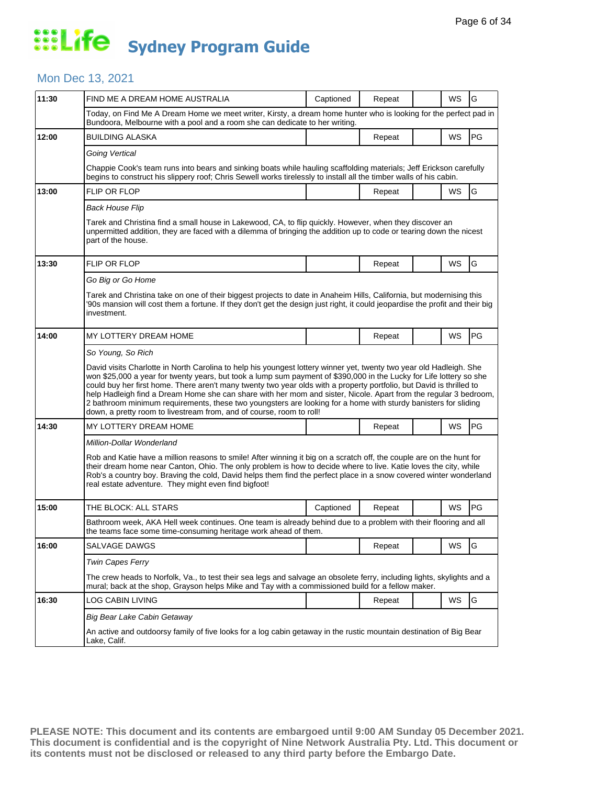#### Mon Dec 13, 2021

| 11:30 | FIND ME A DREAM HOME AUSTRALIA                                                                                                                                                                                                                                                                                                                                                                                                                                                                                                                                                                                                                                                   | Captioned | Repeat |  | WS | G  |  |  |  |
|-------|----------------------------------------------------------------------------------------------------------------------------------------------------------------------------------------------------------------------------------------------------------------------------------------------------------------------------------------------------------------------------------------------------------------------------------------------------------------------------------------------------------------------------------------------------------------------------------------------------------------------------------------------------------------------------------|-----------|--------|--|----|----|--|--|--|
|       | Today, on Find Me A Dream Home we meet writer, Kirsty, a dream home hunter who is looking for the perfect pad in<br>Bundoora, Melbourne with a pool and a room she can dedicate to her writing.                                                                                                                                                                                                                                                                                                                                                                                                                                                                                  |           |        |  |    |    |  |  |  |
| 12:00 | <b>BUILDING ALASKA</b>                                                                                                                                                                                                                                                                                                                                                                                                                                                                                                                                                                                                                                                           |           | Repeat |  | WS | PG |  |  |  |
|       | Going Vertical                                                                                                                                                                                                                                                                                                                                                                                                                                                                                                                                                                                                                                                                   |           |        |  |    |    |  |  |  |
|       | Chappie Cook's team runs into bears and sinking boats while hauling scaffolding materials; Jeff Erickson carefully<br>begins to construct his slippery roof; Chris Sewell works tirelessly to install all the timber walls of his cabin.                                                                                                                                                                                                                                                                                                                                                                                                                                         |           |        |  |    |    |  |  |  |
| 13:00 | <b>FLIP OR FLOP</b>                                                                                                                                                                                                                                                                                                                                                                                                                                                                                                                                                                                                                                                              |           | Repeat |  | WS | G  |  |  |  |
|       | <b>Back House Flip</b>                                                                                                                                                                                                                                                                                                                                                                                                                                                                                                                                                                                                                                                           |           |        |  |    |    |  |  |  |
|       | Tarek and Christina find a small house in Lakewood, CA, to flip quickly. However, when they discover an<br>unpermitted addition, they are faced with a dilemma of bringing the addition up to code or tearing down the nicest<br>part of the house.                                                                                                                                                                                                                                                                                                                                                                                                                              |           |        |  |    |    |  |  |  |
| 13:30 | FLIP OR FLOP                                                                                                                                                                                                                                                                                                                                                                                                                                                                                                                                                                                                                                                                     |           | Repeat |  | WS | G  |  |  |  |
|       | Go Big or Go Home                                                                                                                                                                                                                                                                                                                                                                                                                                                                                                                                                                                                                                                                |           |        |  |    |    |  |  |  |
|       | Tarek and Christina take on one of their biggest projects to date in Anaheim Hills, California, but modernising this<br>'90s mansion will cost them a fortune. If they don't get the design just right, it could jeopardise the profit and their big<br>investment.                                                                                                                                                                                                                                                                                                                                                                                                              |           |        |  |    |    |  |  |  |
| 14:00 | MY LOTTERY DREAM HOME                                                                                                                                                                                                                                                                                                                                                                                                                                                                                                                                                                                                                                                            |           | Repeat |  | WS | PG |  |  |  |
|       | So Young, So Rich                                                                                                                                                                                                                                                                                                                                                                                                                                                                                                                                                                                                                                                                |           |        |  |    |    |  |  |  |
|       | David visits Charlotte in North Carolina to help his youngest lottery winner yet, twenty two year old Hadleigh. She<br>won \$25,000 a year for twenty years, but took a lump sum payment of \$390,000 in the Lucky for Life lottery so she<br>could buy her first home. There aren't many twenty two year olds with a property portfolio, but David is thrilled to<br>help Hadleigh find a Dream Home she can share with her mom and sister, Nicole. Apart from the regular 3 bedroom,<br>2 bathroom minimum requirements, these two youngsters are looking for a home with sturdy banisters for sliding<br>down, a pretty room to livestream from, and of course, room to roll! |           |        |  |    |    |  |  |  |
| 14:30 | MY LOTTERY DREAM HOME                                                                                                                                                                                                                                                                                                                                                                                                                                                                                                                                                                                                                                                            |           | Repeat |  | WS | PG |  |  |  |
|       | Million-Dollar Wonderland                                                                                                                                                                                                                                                                                                                                                                                                                                                                                                                                                                                                                                                        |           |        |  |    |    |  |  |  |
|       | Rob and Katie have a million reasons to smile! After winning it big on a scratch off, the couple are on the hunt for<br>their dream home near Canton, Ohio. The only problem is how to decide where to live. Katie loves the city, while<br>Rob's a country boy. Braving the cold, David helps them find the perfect place in a snow covered winter wonderland<br>real estate adventure. They might even find bigfoot!                                                                                                                                                                                                                                                           |           |        |  |    |    |  |  |  |
| 15:00 | THE BLOCK: ALL STARS                                                                                                                                                                                                                                                                                                                                                                                                                                                                                                                                                                                                                                                             | Captioned | Repeat |  | WS | PG |  |  |  |
|       | Bathroom week, AKA Hell week continues. One team is already behind due to a problem with their flooring and all<br>the teams face some time-consuming heritage work ahead of them.                                                                                                                                                                                                                                                                                                                                                                                                                                                                                               |           |        |  |    |    |  |  |  |
| 16:00 | SALVAGE DAWGS                                                                                                                                                                                                                                                                                                                                                                                                                                                                                                                                                                                                                                                                    |           | Repeat |  | WS | G  |  |  |  |
|       | <b>Twin Capes Ferry</b>                                                                                                                                                                                                                                                                                                                                                                                                                                                                                                                                                                                                                                                          |           |        |  |    |    |  |  |  |
|       | The crew heads to Norfolk, Va., to test their sea legs and salvage an obsolete ferry, including lights, skylights and a<br>mural; back at the shop, Grayson helps Mike and Tay with a commissioned build for a fellow maker.                                                                                                                                                                                                                                                                                                                                                                                                                                                     |           |        |  |    |    |  |  |  |
| 16:30 | LOG CABIN LIVING                                                                                                                                                                                                                                                                                                                                                                                                                                                                                                                                                                                                                                                                 |           | Repeat |  | WS | G  |  |  |  |
|       | Big Bear Lake Cabin Getaway                                                                                                                                                                                                                                                                                                                                                                                                                                                                                                                                                                                                                                                      |           |        |  |    |    |  |  |  |
|       | An active and outdoorsy family of five looks for a log cabin getaway in the rustic mountain destination of Big Bear<br>Lake, Calif.                                                                                                                                                                                                                                                                                                                                                                                                                                                                                                                                              |           |        |  |    |    |  |  |  |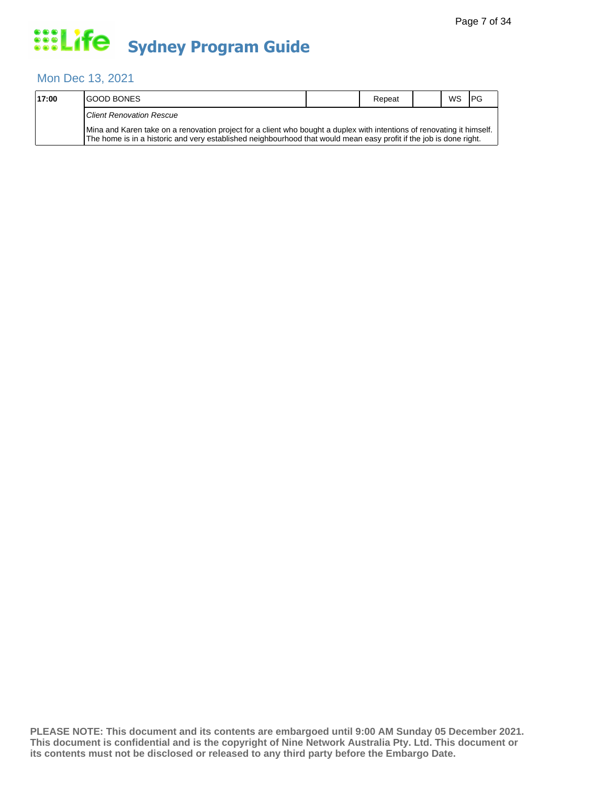#### Mon Dec 13, 2021

| 17:00 | <b>IGOOD BONES</b>                                                                                                                                                                                                                           | Repeat | <b>WS</b> | <b>IPG</b> |
|-------|----------------------------------------------------------------------------------------------------------------------------------------------------------------------------------------------------------------------------------------------|--------|-----------|------------|
|       | <b>Client Renovation Rescue</b>                                                                                                                                                                                                              |        |           |            |
|       | Mina and Karen take on a renovation project for a client who bought a duplex with intentions of renovating it himself.<br>The home is in a historic and very established neighbourhood that would mean easy profit if the job is done right. |        |           |            |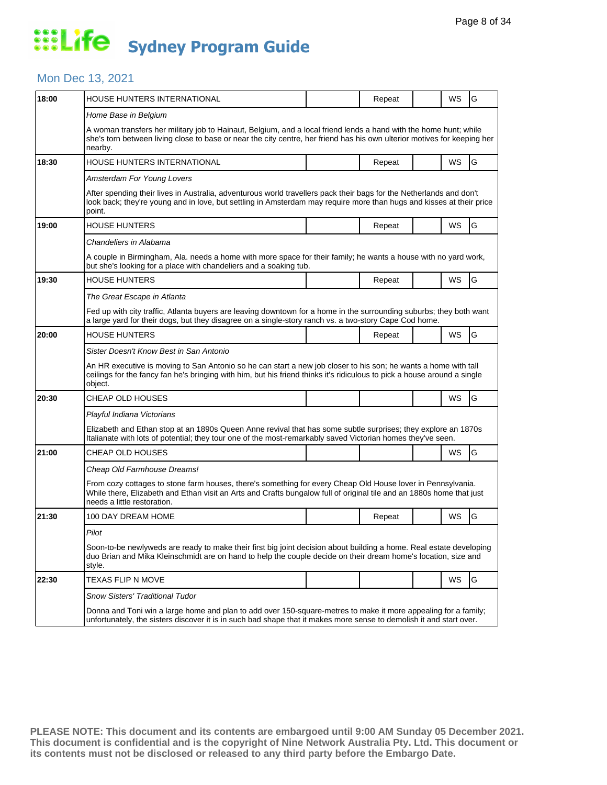#### Mon Dec 13, 2021

| 18:00 | HOUSE HUNTERS INTERNATIONAL                                                                                                                                                                                                                                        |  | Repeat |  | WS | G |  |  |  |
|-------|--------------------------------------------------------------------------------------------------------------------------------------------------------------------------------------------------------------------------------------------------------------------|--|--------|--|----|---|--|--|--|
|       | Home Base in Belgium                                                                                                                                                                                                                                               |  |        |  |    |   |  |  |  |
|       | A woman transfers her military job to Hainaut, Belgium, and a local friend lends a hand with the home hunt; while<br>she's torn between living close to base or near the city centre, her friend has his own ulterior motives for keeping her<br>nearby.           |  |        |  |    |   |  |  |  |
| 18:30 | HOUSE HUNTERS INTERNATIONAL                                                                                                                                                                                                                                        |  | Repeat |  | WS | G |  |  |  |
|       | Amsterdam For Young Lovers                                                                                                                                                                                                                                         |  |        |  |    |   |  |  |  |
|       | After spending their lives in Australia, adventurous world travellers pack their bags for the Netherlands and don't<br>look back; they're young and in love, but settling in Amsterdam may require more than hugs and kisses at their price<br>point.              |  |        |  |    |   |  |  |  |
| 19:00 | <b>HOUSE HUNTERS</b>                                                                                                                                                                                                                                               |  | Repeat |  | WS | G |  |  |  |
|       | Chandeliers in Alabama                                                                                                                                                                                                                                             |  |        |  |    |   |  |  |  |
|       | A couple in Birmingham, Ala. needs a home with more space for their family; he wants a house with no yard work,<br>but she's looking for a place with chandeliers and a soaking tub.                                                                               |  |        |  |    |   |  |  |  |
| 19:30 | <b>HOUSE HUNTERS</b>                                                                                                                                                                                                                                               |  | Repeat |  | WS | G |  |  |  |
|       | The Great Escape in Atlanta                                                                                                                                                                                                                                        |  |        |  |    |   |  |  |  |
|       | Fed up with city traffic, Atlanta buyers are leaving downtown for a home in the surrounding suburbs; they both want<br>a large yard for their dogs, but they disagree on a single-story ranch vs. a two-story Cape Cod home.                                       |  |        |  |    |   |  |  |  |
| 20:00 | HOUSE HUNTERS                                                                                                                                                                                                                                                      |  | Repeat |  | WS | G |  |  |  |
|       | Sister Doesn't Know Best in San Antonio                                                                                                                                                                                                                            |  |        |  |    |   |  |  |  |
|       | An HR executive is moving to San Antonio so he can start a new job closer to his son; he wants a home with tall<br>ceilings for the fancy fan he's bringing with him, but his friend thinks it's ridiculous to pick a house around a single<br>object.             |  |        |  |    |   |  |  |  |
| 20:30 | CHEAP OLD HOUSES                                                                                                                                                                                                                                                   |  |        |  | WS | G |  |  |  |
|       | Playful Indiana Victorians                                                                                                                                                                                                                                         |  |        |  |    |   |  |  |  |
|       | Elizabeth and Ethan stop at an 1890s Queen Anne revival that has some subtle surprises; they explore an 1870s<br>Italianate with lots of potential; they tour one of the most-remarkably saved Victorian homes they've seen.                                       |  |        |  |    |   |  |  |  |
| 21:00 | CHEAP OLD HOUSES                                                                                                                                                                                                                                                   |  |        |  | WS | G |  |  |  |
|       | Cheap Old Farmhouse Dreams!                                                                                                                                                                                                                                        |  |        |  |    |   |  |  |  |
|       | From cozy cottages to stone farm houses, there's something for every Cheap Old House lover in Pennsylvania.<br>While there, Elizabeth and Ethan visit an Arts and Crafts bungalow full of original tile and an 1880s home that just<br>needs a little restoration. |  |        |  |    |   |  |  |  |
| 21:30 | 100 DAY DREAM HOME                                                                                                                                                                                                                                                 |  | Repeat |  | WS | G |  |  |  |
|       | Pilot                                                                                                                                                                                                                                                              |  |        |  |    |   |  |  |  |
|       | Soon-to-be newlyweds are ready to make their first big joint decision about building a home. Real estate developing<br>duo Brian and Mika Kleinschmidt are on hand to help the couple decide on their dream home's location, size and<br>style.                    |  |        |  |    |   |  |  |  |
| 22:30 | TEXAS FLIP N MOVE                                                                                                                                                                                                                                                  |  |        |  | WS | G |  |  |  |
|       | Snow Sisters' Traditional Tudor                                                                                                                                                                                                                                    |  |        |  |    |   |  |  |  |
|       | Donna and Toni win a large home and plan to add over 150-square-metres to make it more appealing for a family;<br>unfortunately, the sisters discover it is in such bad shape that it makes more sense to demolish it and start over.                              |  |        |  |    |   |  |  |  |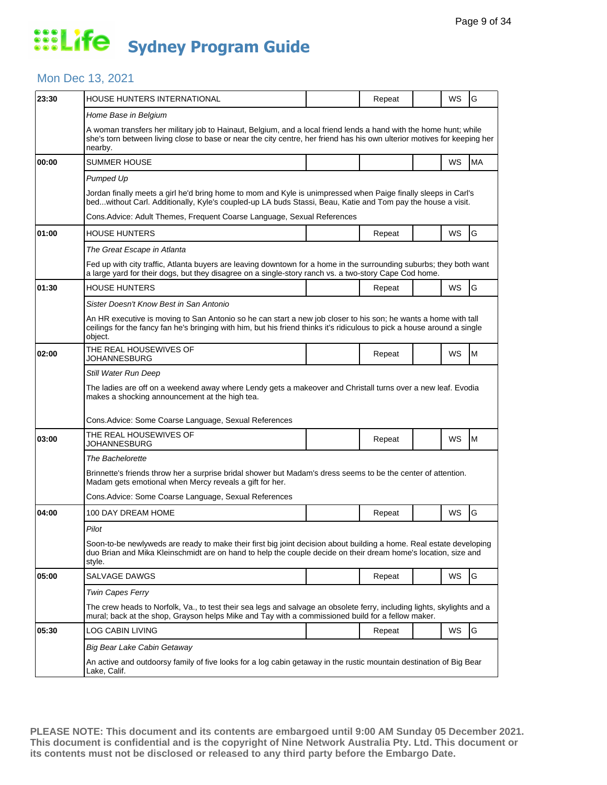#### Mon Dec 13, 2021

| 23:30 | HOUSE HUNTERS INTERNATIONAL                                                                                                                                                                                                                              |  | Repeat |  | WS | G         |  |  |  |
|-------|----------------------------------------------------------------------------------------------------------------------------------------------------------------------------------------------------------------------------------------------------------|--|--------|--|----|-----------|--|--|--|
|       | Home Base in Belgium                                                                                                                                                                                                                                     |  |        |  |    |           |  |  |  |
|       | A woman transfers her military job to Hainaut, Belgium, and a local friend lends a hand with the home hunt; while<br>she's torn between living close to base or near the city centre, her friend has his own ulterior motives for keeping her<br>nearby. |  |        |  |    |           |  |  |  |
| 00:00 | SUMMER HOUSE                                                                                                                                                                                                                                             |  |        |  | WS | <b>MA</b> |  |  |  |
|       | Pumped Up                                                                                                                                                                                                                                                |  |        |  |    |           |  |  |  |
|       | Jordan finally meets a girl he'd bring home to mom and Kyle is unimpressed when Paige finally sleeps in Carl's<br>bedwithout Carl. Additionally, Kyle's coupled-up LA buds Stassi, Beau, Katie and Tom pay the house a visit.                            |  |        |  |    |           |  |  |  |
|       | Cons. Advice: Adult Themes, Frequent Coarse Language, Sexual References                                                                                                                                                                                  |  |        |  |    |           |  |  |  |
| 01:00 | HOUSE HUNTERS                                                                                                                                                                                                                                            |  | Repeat |  | WS | G         |  |  |  |
|       | The Great Escape in Atlanta                                                                                                                                                                                                                              |  |        |  |    |           |  |  |  |
|       | Fed up with city traffic, Atlanta buyers are leaving downtown for a home in the surrounding suburbs; they both want<br>a large yard for their dogs, but they disagree on a single-story ranch vs. a two-story Cape Cod home.                             |  |        |  |    |           |  |  |  |
| 01:30 | HOUSE HUNTERS                                                                                                                                                                                                                                            |  | Repeat |  | WS | G         |  |  |  |
|       | Sister Doesn't Know Best in San Antonio                                                                                                                                                                                                                  |  |        |  |    |           |  |  |  |
|       | An HR executive is moving to San Antonio so he can start a new job closer to his son; he wants a home with tall<br>ceilings for the fancy fan he's bringing with him, but his friend thinks it's ridiculous to pick a house around a single<br>object.   |  |        |  |    |           |  |  |  |
| 02:00 | THE REAL HOUSEWIVES OF<br>JOHANNESBURG                                                                                                                                                                                                                   |  | Repeat |  | WS | M         |  |  |  |
|       | Still Water Run Deep                                                                                                                                                                                                                                     |  |        |  |    |           |  |  |  |
|       | The ladies are off on a weekend away where Lendy gets a makeover and Christall turns over a new leaf. Evodia<br>makes a shocking announcement at the high tea.                                                                                           |  |        |  |    |           |  |  |  |
|       | Cons.Advice: Some Coarse Language, Sexual References                                                                                                                                                                                                     |  |        |  |    |           |  |  |  |
| 03:00 | THE REAL HOUSEWIVES OF<br>JOHANNESBURG                                                                                                                                                                                                                   |  | Repeat |  | WS | M         |  |  |  |
|       | The Bachelorette                                                                                                                                                                                                                                         |  |        |  |    |           |  |  |  |
|       | Brinnette's friends throw her a surprise bridal shower but Madam's dress seems to be the center of attention.<br>Madam gets emotional when Mercy reveals a gift for her.                                                                                 |  |        |  |    |           |  |  |  |
|       | Cons.Advice: Some Coarse Language, Sexual References                                                                                                                                                                                                     |  |        |  |    |           |  |  |  |
| 04:00 | 100 DAY DREAM HOME                                                                                                                                                                                                                                       |  | Repeat |  | WS | G         |  |  |  |
|       | Pilot                                                                                                                                                                                                                                                    |  |        |  |    |           |  |  |  |
|       | Soon-to-be newlyweds are ready to make their first big joint decision about building a home. Real estate developing<br>duo Brian and Mika Kleinschmidt are on hand to help the couple decide on their dream home's location, size and<br>style.          |  |        |  |    |           |  |  |  |
| 05:00 | SALVAGE DAWGS                                                                                                                                                                                                                                            |  | Repeat |  | WS | G         |  |  |  |
|       | Twin Capes Ferry                                                                                                                                                                                                                                         |  |        |  |    |           |  |  |  |
|       | The crew heads to Norfolk, Va., to test their sea legs and salvage an obsolete ferry, including lights, skylights and a<br>mural; back at the shop, Grayson helps Mike and Tay with a commissioned build for a fellow maker.                             |  |        |  |    |           |  |  |  |
|       |                                                                                                                                                                                                                                                          |  |        |  |    |           |  |  |  |
| 05:30 | LOG CABIN LIVING                                                                                                                                                                                                                                         |  | Repeat |  | WS | G         |  |  |  |
|       | Big Bear Lake Cabin Getaway                                                                                                                                                                                                                              |  |        |  |    |           |  |  |  |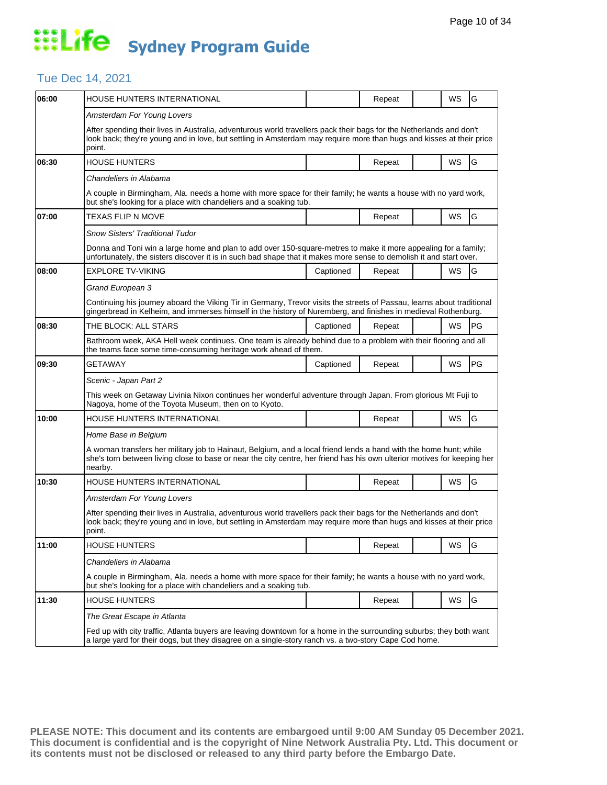#### Tue Dec 14, 2021

| 06:00 | HOUSE HUNTERS INTERNATIONAL                                                                                                                                                                                                                              |           | Repeat |  | WS        | G         |  |  |
|-------|----------------------------------------------------------------------------------------------------------------------------------------------------------------------------------------------------------------------------------------------------------|-----------|--------|--|-----------|-----------|--|--|
|       | Amsterdam For Young Lovers                                                                                                                                                                                                                               |           |        |  |           |           |  |  |
|       | After spending their lives in Australia, adventurous world travellers pack their bags for the Netherlands and don't<br>look back; they're young and in love, but settling in Amsterdam may require more than hugs and kisses at their price<br>point.    |           |        |  |           |           |  |  |
| 06:30 | <b>HOUSE HUNTERS</b>                                                                                                                                                                                                                                     |           | Repeat |  | <b>WS</b> | G         |  |  |
|       | Chandeliers in Alabama                                                                                                                                                                                                                                   |           |        |  |           |           |  |  |
|       | A couple in Birmingham, Ala. needs a home with more space for their family; he wants a house with no yard work,<br>but she's looking for a place with chandeliers and a soaking tub.                                                                     |           |        |  |           |           |  |  |
| 07:00 | TEXAS FLIP N MOVE                                                                                                                                                                                                                                        |           | Repeat |  | WS        | G         |  |  |
|       | Snow Sisters' Traditional Tudor                                                                                                                                                                                                                          |           |        |  |           |           |  |  |
|       | Donna and Toni win a large home and plan to add over 150-square-metres to make it more appealing for a family;<br>unfortunately, the sisters discover it is in such bad shape that it makes more sense to demolish it and start over.                    |           |        |  |           |           |  |  |
| 08:00 | <b>EXPLORE TV-VIKING</b>                                                                                                                                                                                                                                 | Captioned | Repeat |  | WS        | G         |  |  |
|       | Grand European 3                                                                                                                                                                                                                                         |           |        |  |           |           |  |  |
|       | Continuing his journey aboard the Viking Tir in Germany, Trevor visits the streets of Passau, learns about traditional<br>gingerbread in Kelheim, and immerses himself in the history of Nuremberg, and finishes in medieval Rothenburg.                 |           |        |  |           |           |  |  |
| 08:30 | THE BLOCK: ALL STARS                                                                                                                                                                                                                                     | Captioned | Repeat |  | WS        | PG        |  |  |
|       | Bathroom week, AKA Hell week continues. One team is already behind due to a problem with their flooring and all<br>the teams face some time-consuming heritage work ahead of them.                                                                       |           |        |  |           |           |  |  |
| 09:30 | GETAWAY                                                                                                                                                                                                                                                  | Captioned | Repeat |  | WS        | <b>PG</b> |  |  |
|       | Scenic - Japan Part 2                                                                                                                                                                                                                                    |           |        |  |           |           |  |  |
|       | This week on Getaway Livinia Nixon continues her wonderful adventure through Japan. From glorious Mt Fuji to<br>Nagoya, home of the Toyota Museum, then on to Kyoto.                                                                                     |           |        |  |           |           |  |  |
| 10:00 | HOUSE HUNTERS INTERNATIONAL                                                                                                                                                                                                                              |           | Repeat |  | <b>WS</b> | G         |  |  |
|       | Home Base in Belgium                                                                                                                                                                                                                                     |           |        |  |           |           |  |  |
|       | A woman transfers her military job to Hainaut, Belgium, and a local friend lends a hand with the home hunt; while<br>she's torn between living close to base or near the city centre, her friend has his own ulterior motives for keeping her<br>nearby. |           |        |  |           |           |  |  |
| 10:30 | HOUSE HUNTERS INTERNATIONAL                                                                                                                                                                                                                              |           | Repeat |  | WS        | G         |  |  |
|       | Amsterdam For Young Lovers                                                                                                                                                                                                                               |           |        |  |           |           |  |  |
|       | After spending their lives in Australia, adventurous world travellers pack their bags for the Netherlands and don't<br>look back; they're young and in love, but settling in Amsterdam may require more than hugs and kisses at their price<br>point.    |           |        |  |           |           |  |  |
| 11:00 | HOUSE HUNTERS                                                                                                                                                                                                                                            |           | Repeat |  | WS        | G         |  |  |
|       | Chandeliers in Alabama                                                                                                                                                                                                                                   |           |        |  |           |           |  |  |
|       | A couple in Birmingham, Ala. needs a home with more space for their family; he wants a house with no yard work,<br>but she's looking for a place with chandeliers and a soaking tub.                                                                     |           |        |  |           |           |  |  |
| 11:30 | <b>HOUSE HUNTERS</b>                                                                                                                                                                                                                                     |           | Repeat |  | WS        | G         |  |  |
|       | The Great Escape in Atlanta                                                                                                                                                                                                                              |           |        |  |           |           |  |  |
|       | Fed up with city traffic, Atlanta buyers are leaving downtown for a home in the surrounding suburbs; they both want<br>a large yard for their dogs, but they disagree on a single-story ranch vs. a two-story Cape Cod home.                             |           |        |  |           |           |  |  |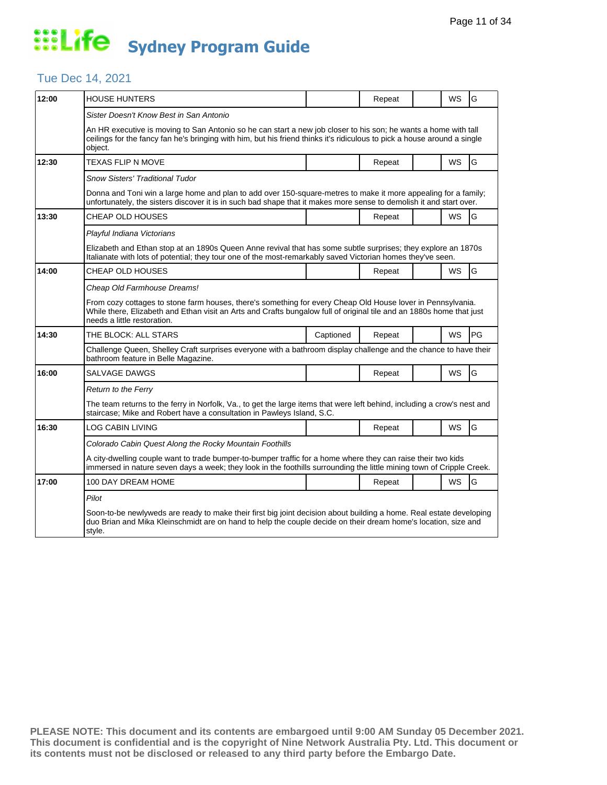#### Tue Dec 14, 2021

| 12:00 | HOUSE HUNTERS                                                                                                                                                                                                                                                                                     |           | Repeat |  | WS        | G  |  |  |
|-------|---------------------------------------------------------------------------------------------------------------------------------------------------------------------------------------------------------------------------------------------------------------------------------------------------|-----------|--------|--|-----------|----|--|--|
|       | Sister Doesn't Know Best in San Antonio<br>An HR executive is moving to San Antonio so he can start a new job closer to his son; he wants a home with tall<br>ceilings for the fancy fan he's bringing with him, but his friend thinks it's ridiculous to pick a house around a single<br>object. |           |        |  |           |    |  |  |
| 12:30 | <b>TEXAS FLIP N MOVE</b>                                                                                                                                                                                                                                                                          |           | Repeat |  | WS        | G  |  |  |
|       | <b>Snow Sisters' Traditional Tudor</b><br>Donna and Toni win a large home and plan to add over 150-square-metres to make it more appealing for a family;<br>unfortunately, the sisters discover it is in such bad shape that it makes more sense to demolish it and start over.                   |           |        |  |           |    |  |  |
| 13:30 | CHEAP OLD HOUSES                                                                                                                                                                                                                                                                                  |           | Repeat |  | WS        | G  |  |  |
|       | Playful Indiana Victorians<br>Elizabeth and Ethan stop at an 1890s Queen Anne revival that has some subtle surprises; they explore an 1870s<br>Italianate with lots of potential; they tour one of the most-remarkably saved Victorian homes they've seen.                                        |           |        |  |           |    |  |  |
| 14:00 | CHEAP OLD HOUSES                                                                                                                                                                                                                                                                                  |           | Repeat |  | WS        | G  |  |  |
|       | Cheap Old Farmhouse Dreams!<br>From cozy cottages to stone farm houses, there's something for every Cheap Old House lover in Pennsylvania.<br>While there, Elizabeth and Ethan visit an Arts and Crafts bungalow full of original tile and an 1880s home that just<br>needs a little restoration. |           |        |  |           |    |  |  |
| 14:30 | THE BLOCK: ALL STARS                                                                                                                                                                                                                                                                              | Captioned | Repeat |  | <b>WS</b> | PG |  |  |
|       | Challenge Queen, Shelley Craft surprises everyone with a bathroom display challenge and the chance to have their<br>bathroom feature in Belle Magazine.                                                                                                                                           |           |        |  |           |    |  |  |
| 16:00 | SALVAGE DAWGS                                                                                                                                                                                                                                                                                     |           | Repeat |  | WS        | G  |  |  |
|       | Return to the Ferry<br>The team returns to the ferry in Norfolk, Va., to get the large items that were left behind, including a crow's nest and<br>staircase; Mike and Robert have a consultation in Pawleys Island, S.C.                                                                         |           |        |  |           |    |  |  |
| 16:30 | LOG CABIN LIVING                                                                                                                                                                                                                                                                                  |           | Repeat |  | WS        | G  |  |  |
|       | Colorado Cabin Quest Along the Rocky Mountain Foothills                                                                                                                                                                                                                                           |           |        |  |           |    |  |  |
|       | A city-dwelling couple want to trade bumper-to-bumper traffic for a home where they can raise their two kids<br>immersed in nature seven days a week; they look in the foothills surrounding the little mining town of Cripple Creek.                                                             |           |        |  |           |    |  |  |
| 17:00 | 100 DAY DREAM HOME                                                                                                                                                                                                                                                                                |           | Repeat |  | <b>WS</b> | G  |  |  |
|       | Pilot<br>Soon-to-be newlyweds are ready to make their first big joint decision about building a home. Real estate developing<br>duo Brian and Mika Kleinschmidt are on hand to help the couple decide on their dream home's location, size and<br>style.                                          |           |        |  |           |    |  |  |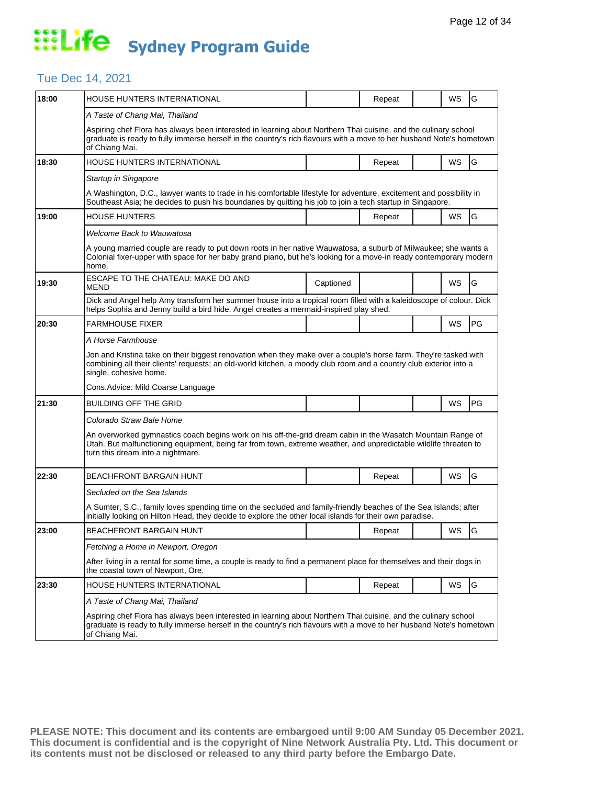#### Tue Dec 14, 2021

| 18:00 | <b>HOUSE HUNTERS INTERNATIONAL</b>                                                                                                                                                                                                                                   |           | Repeat |  | WS        | G  |  |  |  |
|-------|----------------------------------------------------------------------------------------------------------------------------------------------------------------------------------------------------------------------------------------------------------------------|-----------|--------|--|-----------|----|--|--|--|
|       | A Taste of Chang Mai, Thailand                                                                                                                                                                                                                                       |           |        |  |           |    |  |  |  |
|       | Aspiring chef Flora has always been interested in learning about Northern Thai cuisine, and the culinary school<br>graduate is ready to fully immerse herself in the country's rich flavours with a move to her husband Note's hometown<br>of Chiang Mai.            |           |        |  |           |    |  |  |  |
| 18:30 | HOUSE HUNTERS INTERNATIONAL                                                                                                                                                                                                                                          |           | Repeat |  | WS        | G  |  |  |  |
|       | Startup in Singapore                                                                                                                                                                                                                                                 |           |        |  |           |    |  |  |  |
|       | A Washington, D.C., lawyer wants to trade in his comfortable lifestyle for adventure, excitement and possibility in<br>Southeast Asia; he decides to push his boundaries by quitting his job to join a tech startup in Singapore.                                    |           |        |  |           |    |  |  |  |
| 19:00 | <b>HOUSE HUNTERS</b>                                                                                                                                                                                                                                                 |           | Repeat |  | <b>WS</b> | G  |  |  |  |
|       | <b>Welcome Back to Wauwatosa</b>                                                                                                                                                                                                                                     |           |        |  |           |    |  |  |  |
|       | A young married couple are ready to put down roots in her native Wauwatosa, a suburb of Milwaukee; she wants a<br>Colonial fixer-upper with space for her baby grand piano, but he's looking for a move-in ready contemporary modern<br>home.                        |           |        |  |           |    |  |  |  |
| 19:30 | ESCAPE TO THE CHATEAU: MAKE DO AND<br>MEND                                                                                                                                                                                                                           | Captioned |        |  | WS        | G  |  |  |  |
|       | Dick and Angel help Amy transform her summer house into a tropical room filled with a kaleidoscope of colour. Dick<br>helps Sophia and Jenny build a bird hide. Angel creates a mermaid-inspired play shed.                                                          |           |        |  |           |    |  |  |  |
| 20:30 | <b>FARMHOUSE FIXER</b>                                                                                                                                                                                                                                               |           |        |  | WS        | PG |  |  |  |
|       | A Horse Farmhouse                                                                                                                                                                                                                                                    |           |        |  |           |    |  |  |  |
|       | Jon and Kristina take on their biggest renovation when they make over a couple's horse farm. They're tasked with<br>combining all their clients' requests; an old-world kitchen, a moody club room and a country club exterior into a<br>single, cohesive home.      |           |        |  |           |    |  |  |  |
|       | Cons. Advice: Mild Coarse Language                                                                                                                                                                                                                                   |           |        |  |           |    |  |  |  |
| 21:30 | <b>BUILDING OFF THE GRID</b>                                                                                                                                                                                                                                         |           |        |  | WS        | PG |  |  |  |
|       | Colorado Straw Bale Home                                                                                                                                                                                                                                             |           |        |  |           |    |  |  |  |
|       | An overworked gymnastics coach begins work on his off-the-grid dream cabin in the Wasatch Mountain Range of<br>Utah. But malfunctioning equipment, being far from town, extreme weather, and unpredictable wildlife threaten to<br>turn this dream into a nightmare. |           |        |  |           |    |  |  |  |
| 22:30 | BEACHFRONT BARGAIN HUNT                                                                                                                                                                                                                                              |           | Repeat |  | WS        | G  |  |  |  |
|       | Secluded on the Sea Islands                                                                                                                                                                                                                                          |           |        |  |           |    |  |  |  |
|       | A Sumter, S.C., family loves spending time on the secluded and family-friendly beaches of the Sea Islands; after<br>initially looking on Hilton Head, they decide to explore the other local islands for their own paradise.                                         |           |        |  |           |    |  |  |  |
| 23:00 | <b>BEACHFRONT BARGAIN HUNT</b>                                                                                                                                                                                                                                       |           | Repeat |  | WS        | G  |  |  |  |
|       | Fetching a Home in Newport, Oregon                                                                                                                                                                                                                                   |           |        |  |           |    |  |  |  |
|       | After living in a rental for some time, a couple is ready to find a permanent place for themselves and their dogs in<br>the coastal town of Newport, Ore.                                                                                                            |           |        |  |           |    |  |  |  |
| 23:30 | HOUSE HUNTERS INTERNATIONAL                                                                                                                                                                                                                                          |           | Repeat |  | WS        | G  |  |  |  |
|       | A Taste of Chang Mai, Thailand                                                                                                                                                                                                                                       |           |        |  |           |    |  |  |  |
|       | Aspiring chef Flora has always been interested in learning about Northern Thai cuisine, and the culinary school<br>graduate is ready to fully immerse herself in the country's rich flavours with a move to her husband Note's hometown<br>of Chiang Mai.            |           |        |  |           |    |  |  |  |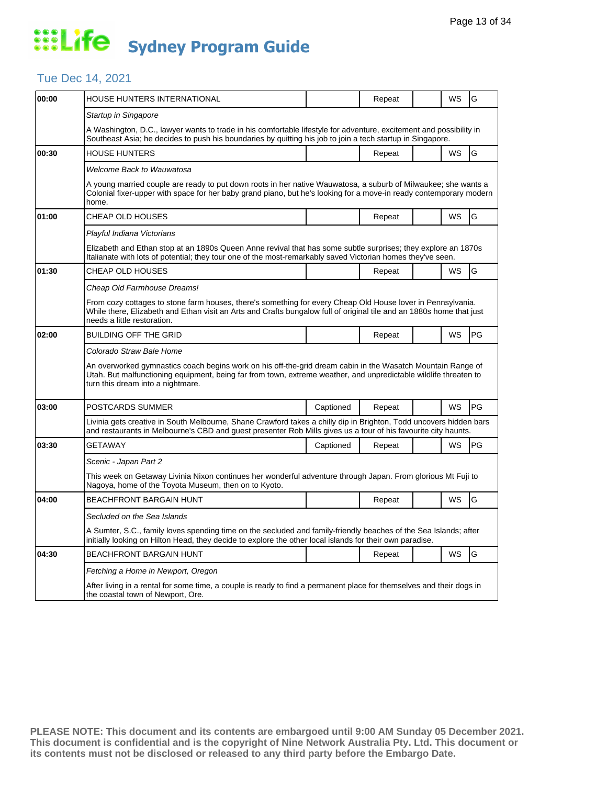#### Tue Dec 14, 2021

| 00:00 | HOUSE HUNTERS INTERNATIONAL                                                                                                                                                                                                                                          |           | Repeat |  | WS        | G          |  |  |  |
|-------|----------------------------------------------------------------------------------------------------------------------------------------------------------------------------------------------------------------------------------------------------------------------|-----------|--------|--|-----------|------------|--|--|--|
|       | Startup in Singapore                                                                                                                                                                                                                                                 |           |        |  |           |            |  |  |  |
|       | A Washington, D.C., lawyer wants to trade in his comfortable lifestyle for adventure, excitement and possibility in<br>Southeast Asia; he decides to push his boundaries by quitting his job to join a tech startup in Singapore.                                    |           |        |  |           |            |  |  |  |
| 00:30 | <b>HOUSE HUNTERS</b>                                                                                                                                                                                                                                                 |           | Repeat |  | <b>WS</b> | G          |  |  |  |
|       | Welcome Back to Wauwatosa                                                                                                                                                                                                                                            |           |        |  |           |            |  |  |  |
|       | A young married couple are ready to put down roots in her native Wauwatosa, a suburb of Milwaukee; she wants a<br>Colonial fixer-upper with space for her baby grand piano, but he's looking for a move-in ready contemporary modern<br>home.                        |           |        |  |           |            |  |  |  |
| 01:00 | CHEAP OLD HOUSES                                                                                                                                                                                                                                                     |           | Repeat |  | WS        | G          |  |  |  |
|       | Playful Indiana Victorians                                                                                                                                                                                                                                           |           |        |  |           |            |  |  |  |
|       | Elizabeth and Ethan stop at an 1890s Queen Anne revival that has some subtle surprises; they explore an 1870s<br>Italianate with lots of potential; they tour one of the most-remarkably saved Victorian homes they've seen.                                         |           |        |  |           |            |  |  |  |
| 01:30 | CHEAP OLD HOUSES                                                                                                                                                                                                                                                     |           | Repeat |  | WS        | G          |  |  |  |
|       | Cheap Old Farmhouse Dreams!                                                                                                                                                                                                                                          |           |        |  |           |            |  |  |  |
|       | From cozy cottages to stone farm houses, there's something for every Cheap Old House lover in Pennsylvania.<br>While there, Elizabeth and Ethan visit an Arts and Crafts bungalow full of original tile and an 1880s home that just<br>needs a little restoration.   |           |        |  |           |            |  |  |  |
| 02:00 | BUILDING OFF THE GRID                                                                                                                                                                                                                                                |           | Repeat |  | WS        | <b>PG</b>  |  |  |  |
|       | Colorado Straw Bale Home                                                                                                                                                                                                                                             |           |        |  |           |            |  |  |  |
|       | An overworked gymnastics coach begins work on his off-the-grid dream cabin in the Wasatch Mountain Range of<br>Utah. But malfunctioning equipment, being far from town, extreme weather, and unpredictable wildlife threaten to<br>turn this dream into a nightmare. |           |        |  |           |            |  |  |  |
| 03:00 | POSTCARDS SUMMER                                                                                                                                                                                                                                                     | Captioned | Repeat |  | WS        | <b>PG</b>  |  |  |  |
|       | Livinia gets creative in South Melbourne, Shane Crawford takes a chilly dip in Brighton, Todd uncovers hidden bars<br>and restaurants in Melbourne's CBD and guest presenter Rob Mills gives us a tour of his favourite city haunts.                                 |           |        |  |           |            |  |  |  |
| 03:30 | <b>GETAWAY</b>                                                                                                                                                                                                                                                       | Captioned | Repeat |  | WS        | <b>IPG</b> |  |  |  |
|       | Scenic - Japan Part 2                                                                                                                                                                                                                                                |           |        |  |           |            |  |  |  |
|       | This week on Getaway Livinia Nixon continues her wonderful adventure through Japan. From glorious Mt Fuji to<br>Nagoya, home of the Toyota Museum, then on to Kyoto.                                                                                                 |           |        |  |           |            |  |  |  |
| 04:00 | BEACHFRONT BARGAIN HUNT                                                                                                                                                                                                                                              |           | Repeat |  | WS        | G          |  |  |  |
|       | Secluded on the Sea Islands                                                                                                                                                                                                                                          |           |        |  |           |            |  |  |  |
|       | A Sumter, S.C., family loves spending time on the secluded and family-friendly beaches of the Sea Islands; after<br>initially looking on Hilton Head, they decide to explore the other local islands for their own paradise.                                         |           |        |  |           |            |  |  |  |
| 04:30 | BEACHFRONT BARGAIN HUNT                                                                                                                                                                                                                                              |           | Repeat |  | WS        | G          |  |  |  |
|       | Fetching a Home in Newport, Oregon                                                                                                                                                                                                                                   |           |        |  |           |            |  |  |  |
|       | After living in a rental for some time, a couple is ready to find a permanent place for themselves and their dogs in<br>the coastal town of Newport, Ore.                                                                                                            |           |        |  |           |            |  |  |  |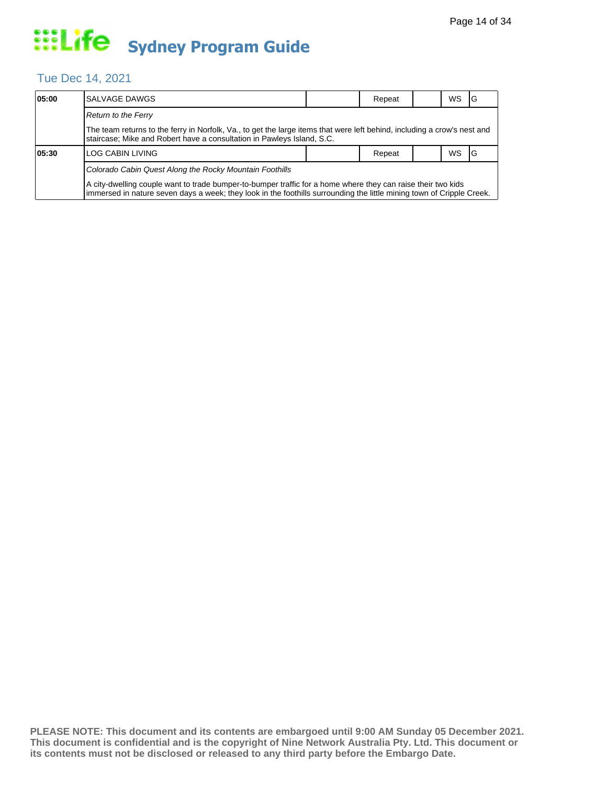#### Tue Dec 14, 2021

| 05:00 | SALVAGE DAWGS                                                                                                                                                                                                                         |  | Repeat |  | WS. | 1G  |  |  |  |
|-------|---------------------------------------------------------------------------------------------------------------------------------------------------------------------------------------------------------------------------------------|--|--------|--|-----|-----|--|--|--|
|       | Return to the Ferry                                                                                                                                                                                                                   |  |        |  |     |     |  |  |  |
|       | The team returns to the ferry in Norfolk, Va., to get the large items that were left behind, including a crow's nest and<br>staircase; Mike and Robert have a consultation in Pawleys Island, S.C.                                    |  |        |  |     |     |  |  |  |
| 05:30 | LOG CABIN LIVING                                                                                                                                                                                                                      |  | Repeat |  | WS. | -IG |  |  |  |
|       | Colorado Cabin Quest Along the Rocky Mountain Foothills                                                                                                                                                                               |  |        |  |     |     |  |  |  |
|       | A city-dwelling couple want to trade bumper-to-bumper traffic for a home where they can raise their two kids<br>Immersed in nature seven days a week; they look in the foothills surrounding the little mining town of Cripple Creek. |  |        |  |     |     |  |  |  |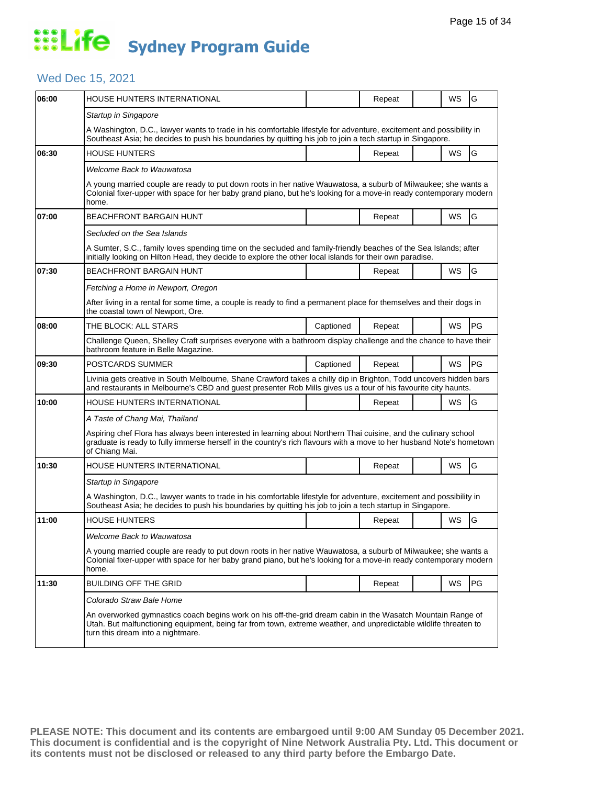#### Wed Dec 15, 2021

| 06:00 | HOUSE HUNTERS INTERNATIONAL                                                                                                                                                                                                                                          |           | Repeat |  | WS        | G         |  |  |
|-------|----------------------------------------------------------------------------------------------------------------------------------------------------------------------------------------------------------------------------------------------------------------------|-----------|--------|--|-----------|-----------|--|--|
|       | Startup in Singapore                                                                                                                                                                                                                                                 |           |        |  |           |           |  |  |
|       | A Washington, D.C., lawyer wants to trade in his comfortable lifestyle for adventure, excitement and possibility in<br>Southeast Asia; he decides to push his boundaries by quitting his job to join a tech startup in Singapore.                                    |           |        |  |           |           |  |  |
| 06:30 | HOUSE HUNTERS                                                                                                                                                                                                                                                        |           | Repeat |  | WS        | G         |  |  |
|       | Welcome Back to Wauwatosa                                                                                                                                                                                                                                            |           |        |  |           |           |  |  |
|       | A young married couple are ready to put down roots in her native Wauwatosa, a suburb of Milwaukee; she wants a<br>Colonial fixer-upper with space for her baby grand piano, but he's looking for a move-in ready contemporary modern<br>home.                        |           |        |  |           |           |  |  |
| 07:00 | <b>BEACHFRONT BARGAIN HUNT</b>                                                                                                                                                                                                                                       |           | Repeat |  | WS        | G         |  |  |
|       | Secluded on the Sea Islands                                                                                                                                                                                                                                          |           |        |  |           |           |  |  |
|       | A Sumter, S.C., family loves spending time on the secluded and family-friendly beaches of the Sea Islands; after<br>initially looking on Hilton Head, they decide to explore the other local islands for their own paradise.                                         |           |        |  |           |           |  |  |
| 07:30 | <b>BEACHFRONT BARGAIN HUNT</b>                                                                                                                                                                                                                                       |           | Repeat |  | WS        | G         |  |  |
|       | Fetching a Home in Newport, Oregon                                                                                                                                                                                                                                   |           |        |  |           |           |  |  |
|       | After living in a rental for some time, a couple is ready to find a permanent place for themselves and their dogs in<br>the coastal town of Newport, Ore.                                                                                                            |           |        |  |           |           |  |  |
| 08:00 | THE BLOCK: ALL STARS                                                                                                                                                                                                                                                 | Captioned | Repeat |  | <b>WS</b> | PG        |  |  |
|       | Challenge Queen, Shelley Craft surprises everyone with a bathroom display challenge and the chance to have their<br>bathroom feature in Belle Magazine.                                                                                                              |           |        |  |           |           |  |  |
| 09:30 | POSTCARDS SUMMER                                                                                                                                                                                                                                                     | Captioned | Repeat |  | WS        | <b>PG</b> |  |  |
|       | Livinia gets creative in South Melbourne, Shane Crawford takes a chilly dip in Brighton, Todd uncovers hidden bars<br>and restaurants in Melbourne's CBD and guest presenter Rob Mills gives us a tour of his favourite city haunts.                                 |           |        |  |           |           |  |  |
| 10:00 | HOUSE HUNTERS INTERNATIONAL                                                                                                                                                                                                                                          |           | Repeat |  | WS        | G         |  |  |
|       | A Taste of Chang Mai, Thailand                                                                                                                                                                                                                                       |           |        |  |           |           |  |  |
|       | Aspiring chef Flora has always been interested in learning about Northern Thai cuisine, and the culinary school<br>graduate is ready to fully immerse herself in the country's rich flavours with a move to her husband Note's hometown<br>of Chiang Mai.            |           |        |  |           |           |  |  |
| 10:30 | <b>HOUSE HUNTERS INTERNATIONAL</b>                                                                                                                                                                                                                                   |           | Repeat |  | WS        | G         |  |  |
|       | Startup in Singapore                                                                                                                                                                                                                                                 |           |        |  |           |           |  |  |
|       | A Washington, D.C., lawyer wants to trade in his comfortable lifestyle for adventure, excitement and possibility in<br>Southeast Asia; he decides to push his boundaries by quitting his job to join a tech startup in Singapore.                                    |           |        |  |           |           |  |  |
| 11:00 | <b>HOUSE HUNTERS</b>                                                                                                                                                                                                                                                 |           | Repeat |  | WS        | G         |  |  |
|       | Welcome Back to Wauwatosa                                                                                                                                                                                                                                            |           |        |  |           |           |  |  |
|       | A young married couple are ready to put down roots in her native Wauwatosa, a suburb of Milwaukee; she wants a<br>Colonial fixer-upper with space for her baby grand piano, but he's looking for a move-in ready contemporary modern<br>home.                        |           |        |  |           |           |  |  |
| 11:30 | BUILDING OFF THE GRID                                                                                                                                                                                                                                                |           | Repeat |  | WS        | <b>PG</b> |  |  |
|       | Colorado Straw Bale Home                                                                                                                                                                                                                                             |           |        |  |           |           |  |  |
|       | An overworked gymnastics coach begins work on his off-the-grid dream cabin in the Wasatch Mountain Range of<br>Utah. But malfunctioning equipment, being far from town, extreme weather, and unpredictable wildlife threaten to<br>turn this dream into a nightmare. |           |        |  |           |           |  |  |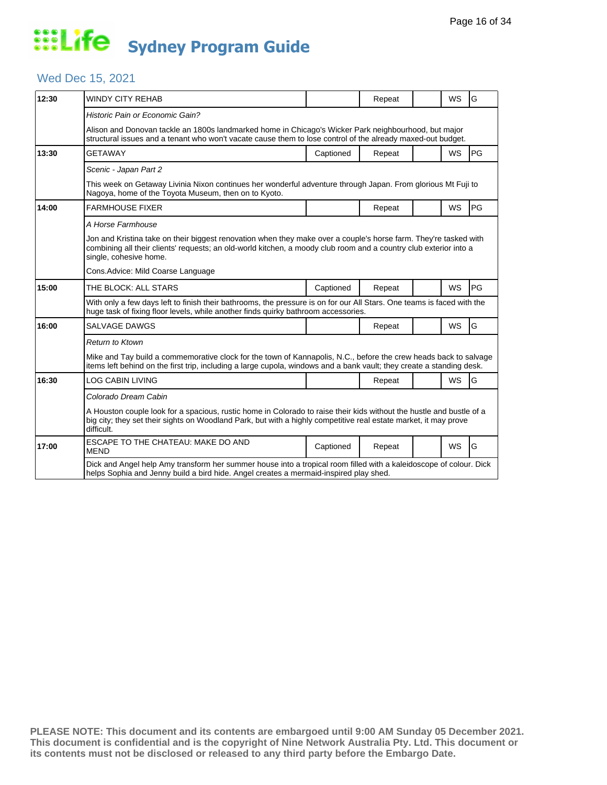#### Wed Dec 15, 2021

| 12:30 | WINDY CITY REHAB                                                                                                                                                                                                                                                |           | Repeat |  | <b>WS</b> | G  |  |  |
|-------|-----------------------------------------------------------------------------------------------------------------------------------------------------------------------------------------------------------------------------------------------------------------|-----------|--------|--|-----------|----|--|--|
|       | Historic Pain or Economic Gain?                                                                                                                                                                                                                                 |           |        |  |           |    |  |  |
|       | Alison and Donovan tackle an 1800s landmarked home in Chicago's Wicker Park neighbourhood, but major<br>structural issues and a tenant who won't vacate cause them to lose control of the already maxed-out budget.                                             |           |        |  |           |    |  |  |
| 13:30 | <b>GETAWAY</b>                                                                                                                                                                                                                                                  | Captioned | Repeat |  | <b>WS</b> | PG |  |  |
|       | Scenic - Japan Part 2                                                                                                                                                                                                                                           |           |        |  |           |    |  |  |
|       | This week on Getaway Livinia Nixon continues her wonderful adventure through Japan. From glorious Mt Fuji to<br>Nagoya, home of the Toyota Museum, then on to Kyoto.                                                                                            |           |        |  |           |    |  |  |
| 14:00 | <b>FARMHOUSE FIXER</b>                                                                                                                                                                                                                                          |           | Repeat |  | <b>WS</b> | PG |  |  |
|       | A Horse Farmhouse                                                                                                                                                                                                                                               |           |        |  |           |    |  |  |
|       | Jon and Kristina take on their biggest renovation when they make over a couple's horse farm. They're tasked with<br>combining all their clients' requests; an old-world kitchen, a moody club room and a country club exterior into a<br>single, cohesive home. |           |        |  |           |    |  |  |
|       | Cons.Advice: Mild Coarse Language                                                                                                                                                                                                                               |           |        |  |           |    |  |  |
| 15:00 | THE BLOCK: ALL STARS                                                                                                                                                                                                                                            | Captioned | Repeat |  | <b>WS</b> | PG |  |  |
|       | With only a few days left to finish their bathrooms, the pressure is on for our All Stars. One teams is faced with the<br>huge task of fixing floor levels, while another finds quirky bathroom accessories.                                                    |           |        |  |           |    |  |  |
| 16:00 | SALVAGE DAWGS                                                                                                                                                                                                                                                   |           | Repeat |  | <b>WS</b> | G  |  |  |
|       | <b>Return to Ktown</b>                                                                                                                                                                                                                                          |           |        |  |           |    |  |  |
|       | Mike and Tay build a commemorative clock for the town of Kannapolis, N.C., before the crew heads back to salvage<br>items left behind on the first trip, including a large cupola, windows and a bank vault; they create a standing desk.                       |           |        |  |           |    |  |  |
| 16:30 | LOG CABIN LIVING                                                                                                                                                                                                                                                |           | Repeat |  | <b>WS</b> | G  |  |  |
|       | Colorado Dream Cabin                                                                                                                                                                                                                                            |           |        |  |           |    |  |  |
|       | A Houston couple look for a spacious, rustic home in Colorado to raise their kids without the hustle and bustle of a<br>big city; they set their sights on Woodland Park, but with a highly competitive real estate market, it may prove<br>difficult.          |           |        |  |           |    |  |  |
| 17:00 | ESCAPE TO THE CHATEAU: MAKE DO AND<br><b>MEND</b>                                                                                                                                                                                                               | Captioned | Repeat |  | <b>WS</b> | G  |  |  |
|       | Dick and Angel help Amy transform her summer house into a tropical room filled with a kaleidoscope of colour. Dick<br>helps Sophia and Jenny build a bird hide. Angel creates a mermaid-inspired play shed.                                                     |           |        |  |           |    |  |  |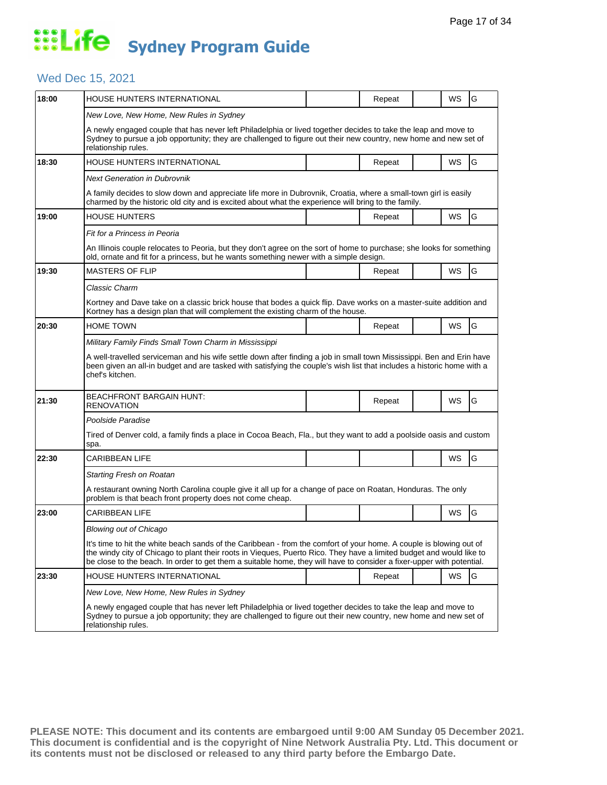#### Wed Dec 15, 2021

| 18:00 | HOUSE HUNTERS INTERNATIONAL                                                                                                                                                                                                                                                                                                                                          |  | Repeat |  | WS | G |  |  |  |
|-------|----------------------------------------------------------------------------------------------------------------------------------------------------------------------------------------------------------------------------------------------------------------------------------------------------------------------------------------------------------------------|--|--------|--|----|---|--|--|--|
|       | New Love, New Home, New Rules in Sydney                                                                                                                                                                                                                                                                                                                              |  |        |  |    |   |  |  |  |
|       | A newly engaged couple that has never left Philadelphia or lived together decides to take the leap and move to<br>Sydney to pursue a job opportunity; they are challenged to figure out their new country, new home and new set of<br>relationship rules.                                                                                                            |  |        |  |    |   |  |  |  |
| 18:30 | HOUSE HUNTERS INTERNATIONAL                                                                                                                                                                                                                                                                                                                                          |  | Repeat |  | WS | G |  |  |  |
|       | Next Generation in Dubrovnik                                                                                                                                                                                                                                                                                                                                         |  |        |  |    |   |  |  |  |
|       | A family decides to slow down and appreciate life more in Dubrovnik, Croatia, where a small-town girl is easily<br>charmed by the historic old city and is excited about what the experience will bring to the family.                                                                                                                                               |  |        |  |    |   |  |  |  |
| 19:00 | <b>HOUSE HUNTERS</b>                                                                                                                                                                                                                                                                                                                                                 |  | Repeat |  | WS | G |  |  |  |
|       | Fit for a Princess in Peoria                                                                                                                                                                                                                                                                                                                                         |  |        |  |    |   |  |  |  |
|       | An Illinois couple relocates to Peoria, but they don't agree on the sort of home to purchase; she looks for something<br>old, ornate and fit for a princess, but he wants something newer with a simple design.                                                                                                                                                      |  |        |  |    |   |  |  |  |
| 19:30 | <b>MASTERS OF FLIP</b>                                                                                                                                                                                                                                                                                                                                               |  | Repeat |  | WS | G |  |  |  |
|       | Classic Charm                                                                                                                                                                                                                                                                                                                                                        |  |        |  |    |   |  |  |  |
|       | Kortney and Dave take on a classic brick house that bodes a quick flip. Dave works on a master-suite addition and<br>Kortney has a design plan that will complement the existing charm of the house.                                                                                                                                                                 |  |        |  |    |   |  |  |  |
| 20:30 | <b>HOME TOWN</b>                                                                                                                                                                                                                                                                                                                                                     |  | Repeat |  | WS | G |  |  |  |
|       | Military Family Finds Small Town Charm in Mississippi                                                                                                                                                                                                                                                                                                                |  |        |  |    |   |  |  |  |
|       | A well-travelled serviceman and his wife settle down after finding a job in small town Mississippi. Ben and Erin have<br>been given an all-in budget and are tasked with satisfying the couple's wish list that includes a historic home with a<br>chef's kitchen.                                                                                                   |  |        |  |    |   |  |  |  |
| 21:30 | <b>BEACHFRONT BARGAIN HUNT:</b><br><b>RENOVATION</b>                                                                                                                                                                                                                                                                                                                 |  | Repeat |  | WS | G |  |  |  |
|       | Poolside Paradise                                                                                                                                                                                                                                                                                                                                                    |  |        |  |    |   |  |  |  |
|       | Tired of Denver cold, a family finds a place in Cocoa Beach, Fla., but they want to add a poolside oasis and custom<br>spa.                                                                                                                                                                                                                                          |  |        |  |    |   |  |  |  |
| 22:30 | <b>CARIBBEAN LIFE</b>                                                                                                                                                                                                                                                                                                                                                |  |        |  | WS | G |  |  |  |
|       | Starting Fresh on Roatan                                                                                                                                                                                                                                                                                                                                             |  |        |  |    |   |  |  |  |
|       | A restaurant owning North Carolina couple give it all up for a change of pace on Roatan, Honduras. The only<br>problem is that beach front property does not come cheap.                                                                                                                                                                                             |  |        |  |    |   |  |  |  |
| 23:00 | <b>CARIBBEAN LIFE</b>                                                                                                                                                                                                                                                                                                                                                |  |        |  | WS | G |  |  |  |
|       | Blowing out of Chicago                                                                                                                                                                                                                                                                                                                                               |  |        |  |    |   |  |  |  |
|       | It's time to hit the white beach sands of the Caribbean - from the comfort of your home. A couple is blowing out of<br>the windy city of Chicago to plant their roots in Vieques, Puerto Rico. They have a limited budget and would like to<br>be close to the beach. In order to get them a suitable home, they will have to consider a fixer-upper with potential. |  |        |  |    |   |  |  |  |
| 23:30 | HOUSE HUNTERS INTERNATIONAL                                                                                                                                                                                                                                                                                                                                          |  | Repeat |  | WS | G |  |  |  |
|       | New Love, New Home, New Rules in Sydney                                                                                                                                                                                                                                                                                                                              |  |        |  |    |   |  |  |  |
|       | A newly engaged couple that has never left Philadelphia or lived together decides to take the leap and move to<br>Sydney to pursue a job opportunity; they are challenged to figure out their new country, new home and new set of<br>relationship rules.                                                                                                            |  |        |  |    |   |  |  |  |
|       |                                                                                                                                                                                                                                                                                                                                                                      |  |        |  |    |   |  |  |  |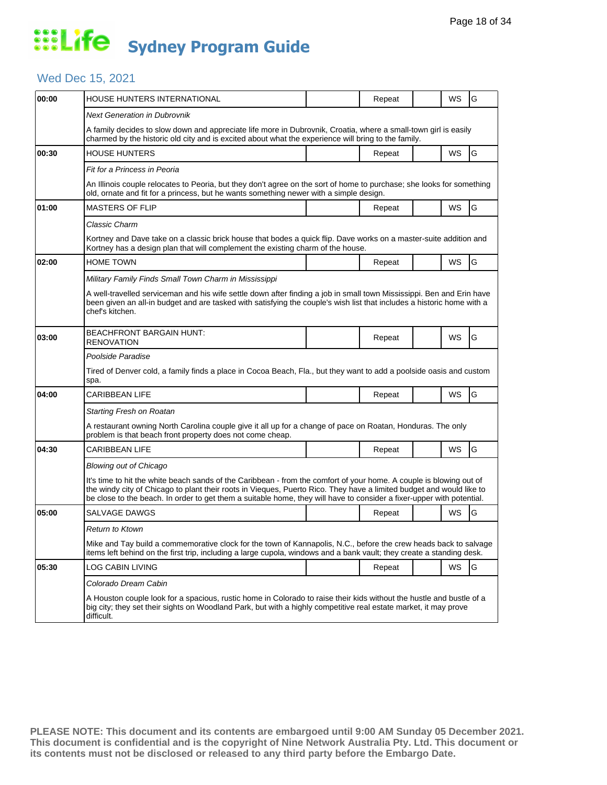#### Wed Dec 15, 2021

| 00:00 | HOUSE HUNTERS INTERNATIONAL                                                                                                                                                                                                                                                                                                                                          |  | Repeat |  | WS        | G |  |  |  |
|-------|----------------------------------------------------------------------------------------------------------------------------------------------------------------------------------------------------------------------------------------------------------------------------------------------------------------------------------------------------------------------|--|--------|--|-----------|---|--|--|--|
|       | <b>Next Generation in Dubrovnik</b>                                                                                                                                                                                                                                                                                                                                  |  |        |  |           |   |  |  |  |
|       | A family decides to slow down and appreciate life more in Dubrovnik, Croatia, where a small-town girl is easily<br>charmed by the historic old city and is excited about what the experience will bring to the family.                                                                                                                                               |  |        |  |           |   |  |  |  |
| 00:30 | <b>HOUSE HUNTERS</b>                                                                                                                                                                                                                                                                                                                                                 |  | Repeat |  | WS        | G |  |  |  |
|       | Fit for a Princess in Peoria                                                                                                                                                                                                                                                                                                                                         |  |        |  |           |   |  |  |  |
|       | An Illinois couple relocates to Peoria, but they don't agree on the sort of home to purchase; she looks for something<br>old, ornate and fit for a princess, but he wants something newer with a simple design.                                                                                                                                                      |  |        |  |           |   |  |  |  |
| 01:00 | <b>MASTERS OF FLIP</b>                                                                                                                                                                                                                                                                                                                                               |  | Repeat |  | WS        | G |  |  |  |
|       | Classic Charm                                                                                                                                                                                                                                                                                                                                                        |  |        |  |           |   |  |  |  |
|       | Kortney and Dave take on a classic brick house that bodes a quick flip. Dave works on a master-suite addition and<br>Kortney has a design plan that will complement the existing charm of the house.                                                                                                                                                                 |  |        |  |           |   |  |  |  |
| 02:00 | Home Town                                                                                                                                                                                                                                                                                                                                                            |  | Repeat |  | WS        | G |  |  |  |
|       | Military Family Finds Small Town Charm in Mississippi                                                                                                                                                                                                                                                                                                                |  |        |  |           |   |  |  |  |
|       | A well-travelled serviceman and his wife settle down after finding a job in small town Mississippi. Ben and Erin have<br>been given an all-in budget and are tasked with satisfying the couple's wish list that includes a historic home with a<br>chef's kitchen.                                                                                                   |  |        |  |           |   |  |  |  |
| 03:00 | <b>BEACHFRONT BARGAIN HUNT:</b><br><b>RENOVATION</b>                                                                                                                                                                                                                                                                                                                 |  | Repeat |  | WS        | G |  |  |  |
|       | Poolside Paradise                                                                                                                                                                                                                                                                                                                                                    |  |        |  |           |   |  |  |  |
|       | Tired of Denver cold, a family finds a place in Cocoa Beach, Fla., but they want to add a poolside oasis and custom<br>spa.                                                                                                                                                                                                                                          |  |        |  |           |   |  |  |  |
| 04:00 | <b>CARIBBEAN LIFE</b>                                                                                                                                                                                                                                                                                                                                                |  | Repeat |  | <b>WS</b> | G |  |  |  |
|       | Starting Fresh on Roatan                                                                                                                                                                                                                                                                                                                                             |  |        |  |           |   |  |  |  |
|       | A restaurant owning North Carolina couple give it all up for a change of pace on Roatan, Honduras. The only<br>problem is that beach front property does not come cheap.                                                                                                                                                                                             |  |        |  |           |   |  |  |  |
| 04:30 | <b>CARIBBEAN LIFE</b>                                                                                                                                                                                                                                                                                                                                                |  | Repeat |  | WS        | G |  |  |  |
|       | <b>Blowing out of Chicago</b>                                                                                                                                                                                                                                                                                                                                        |  |        |  |           |   |  |  |  |
|       | It's time to hit the white beach sands of the Caribbean - from the comfort of your home. A couple is blowing out of<br>the windy city of Chicago to plant their roots in Vieques, Puerto Rico. They have a limited budget and would like to<br>be close to the beach. In order to get them a suitable home, they will have to consider a fixer-upper with potential. |  |        |  |           |   |  |  |  |
| 05:00 | SALVAGE DAWGS                                                                                                                                                                                                                                                                                                                                                        |  | Repeat |  | WS        | G |  |  |  |
|       | <b>Return to Ktown</b>                                                                                                                                                                                                                                                                                                                                               |  |        |  |           |   |  |  |  |
|       | Mike and Tay build a commemorative clock for the town of Kannapolis, N.C., before the crew heads back to salvage<br>items left behind on the first trip, including a large cupola, windows and a bank vault; they create a standing desk.                                                                                                                            |  |        |  |           |   |  |  |  |
| 05:30 | LOG CABIN LIVING                                                                                                                                                                                                                                                                                                                                                     |  | Repeat |  | WS        | G |  |  |  |
|       | Colorado Dream Cabin                                                                                                                                                                                                                                                                                                                                                 |  |        |  |           |   |  |  |  |
|       | A Houston couple look for a spacious, rustic home in Colorado to raise their kids without the hustle and bustle of a<br>big city; they set their sights on Woodland Park, but with a highly competitive real estate market, it may prove<br>difficult.                                                                                                               |  |        |  |           |   |  |  |  |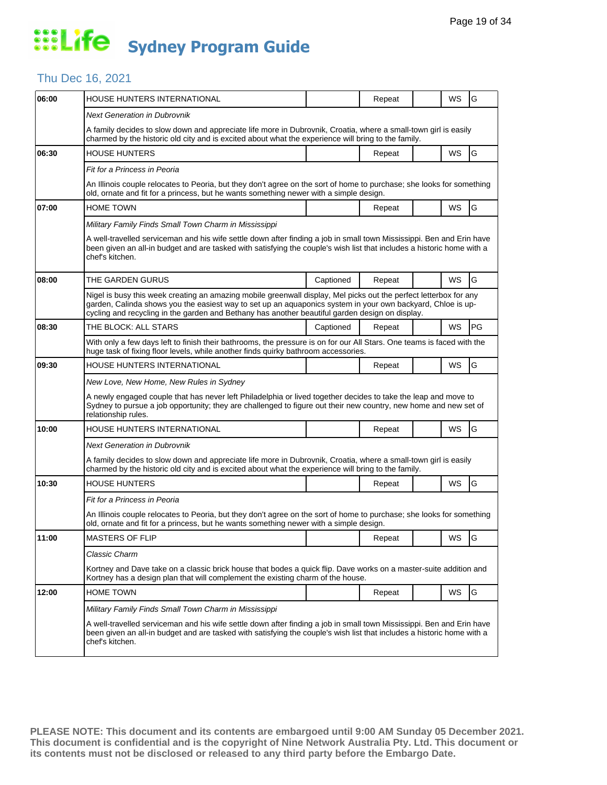#### Thu Dec 16, 2021

| 06:00 | HOUSE HUNTERS INTERNATIONAL                                                                                                                                                                                                                                                                                                         |           | Repeat |  | WS        | G             |  |  |
|-------|-------------------------------------------------------------------------------------------------------------------------------------------------------------------------------------------------------------------------------------------------------------------------------------------------------------------------------------|-----------|--------|--|-----------|---------------|--|--|
|       | <b>Next Generation in Dubrovnik</b>                                                                                                                                                                                                                                                                                                 |           |        |  |           |               |  |  |
|       | A family decides to slow down and appreciate life more in Dubrovnik, Croatia, where a small-town girl is easily<br>charmed by the historic old city and is excited about what the experience will bring to the family.                                                                                                              |           |        |  |           |               |  |  |
| 06:30 | <b>HOUSE HUNTERS</b>                                                                                                                                                                                                                                                                                                                |           | Repeat |  | WS        | G             |  |  |
|       | Fit for a Princess in Peoria                                                                                                                                                                                                                                                                                                        |           |        |  |           |               |  |  |
|       | An Illinois couple relocates to Peoria, but they don't agree on the sort of home to purchase; she looks for something<br>old, ornate and fit for a princess, but he wants something newer with a simple design.                                                                                                                     |           |        |  |           |               |  |  |
| 07:00 | <b>HOME TOWN</b>                                                                                                                                                                                                                                                                                                                    |           | Repeat |  | WS        | G             |  |  |
|       | Military Family Finds Small Town Charm in Mississippi                                                                                                                                                                                                                                                                               |           |        |  |           |               |  |  |
|       | A well-travelled serviceman and his wife settle down after finding a job in small town Mississippi. Ben and Erin have<br>been given an all-in budget and are tasked with satisfying the couple's wish list that includes a historic home with a<br>chef's kitchen.                                                                  |           |        |  |           |               |  |  |
| 08:00 | THE GARDEN GURUS                                                                                                                                                                                                                                                                                                                    | Captioned | Repeat |  | WS        | G             |  |  |
|       | Nigel is busy this week creating an amazing mobile greenwall display, Mel picks out the perfect letterbox for any<br>garden, Calinda shows you the easiest way to set up an aquaponics system in your own backyard, Chloe is up-<br>cycling and recycling in the garden and Bethany has another beautiful garden design on display. |           |        |  |           |               |  |  |
| 08:30 | THE BLOCK: ALL STARS                                                                                                                                                                                                                                                                                                                | Captioned | Repeat |  | WS        | PG            |  |  |
|       | With only a few days left to finish their bathrooms, the pressure is on for our All Stars. One teams is faced with the<br>huge task of fixing floor levels, while another finds quirky bathroom accessories.                                                                                                                        |           |        |  |           |               |  |  |
| 09:30 | HOUSE HUNTERS INTERNATIONAL                                                                                                                                                                                                                                                                                                         |           | Repeat |  | WS        | G             |  |  |
|       | New Love, New Home, New Rules in Sydney                                                                                                                                                                                                                                                                                             |           |        |  |           |               |  |  |
|       | A newly engaged couple that has never left Philadelphia or lived together decides to take the leap and move to<br>Sydney to pursue a job opportunity; they are challenged to figure out their new country, new home and new set of<br>relationship rules.                                                                           |           |        |  |           |               |  |  |
| 10:00 | HOUSE HUNTERS INTERNATIONAL                                                                                                                                                                                                                                                                                                         |           | Repeat |  | <b>WS</b> | G             |  |  |
|       | Next Generation in Dubrovnik                                                                                                                                                                                                                                                                                                        |           |        |  |           |               |  |  |
|       | A family decides to slow down and appreciate life more in Dubrovnik, Croatia, where a small-town girl is easily<br>charmed by the historic old city and is excited about what the experience will bring to the family.                                                                                                              |           |        |  |           |               |  |  |
| 10:30 | <b>HOUSE HUNTERS</b>                                                                                                                                                                                                                                                                                                                |           | Repeat |  | WS        | G             |  |  |
|       | Fit for a Princess in Peoria                                                                                                                                                                                                                                                                                                        |           |        |  |           |               |  |  |
|       | An Illinois couple relocates to Peoria, but they don't agree on the sort of home to purchase; she looks for something<br>old, ornate and fit for a princess, but he wants something newer with a simple design.                                                                                                                     |           |        |  |           |               |  |  |
| 11:00 | MASTERS OF FLIP                                                                                                                                                                                                                                                                                                                     |           | Repeat |  | WS        | lG            |  |  |
|       | Classic Charm                                                                                                                                                                                                                                                                                                                       |           |        |  |           |               |  |  |
|       | Kortney and Dave take on a classic brick house that bodes a quick flip. Dave works on a master-suite addition and<br>Kortney has a design plan that will complement the existing charm of the house.                                                                                                                                |           |        |  |           |               |  |  |
| 12:00 | <b>HOME TOWN</b>                                                                                                                                                                                                                                                                                                                    |           | Repeat |  | WS        | ${\mathsf G}$ |  |  |
|       | Military Family Finds Small Town Charm in Mississippi                                                                                                                                                                                                                                                                               |           |        |  |           |               |  |  |
|       | A well-travelled serviceman and his wife settle down after finding a job in small town Mississippi. Ben and Erin have<br>been given an all-in budget and are tasked with satisfying the couple's wish list that includes a historic home with a<br>chef's kitchen.                                                                  |           |        |  |           |               |  |  |
|       |                                                                                                                                                                                                                                                                                                                                     |           |        |  |           |               |  |  |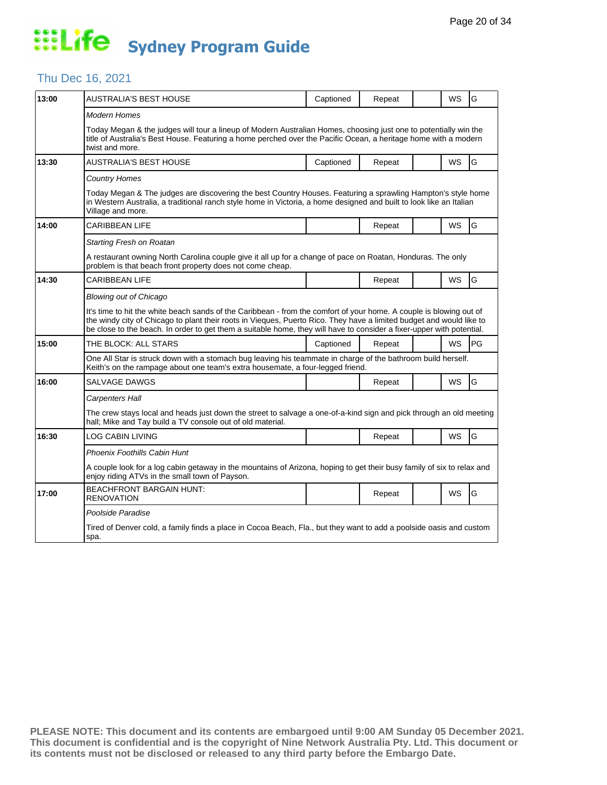#### Thu Dec 16, 2021

| 13:00 | AUSTRALIA'S BEST HOUSE                                                                                                                                                                                                                                                                                                                                               | Captioned | Repeat |  | WS        | G  |  |  |  |
|-------|----------------------------------------------------------------------------------------------------------------------------------------------------------------------------------------------------------------------------------------------------------------------------------------------------------------------------------------------------------------------|-----------|--------|--|-----------|----|--|--|--|
|       | Modern Homes                                                                                                                                                                                                                                                                                                                                                         |           |        |  |           |    |  |  |  |
|       | Today Megan & the judges will tour a lineup of Modern Australian Homes, choosing just one to potentially win the<br>title of Australia's Best House. Featuring a home perched over the Pacific Ocean, a heritage home with a modern<br>twist and more.                                                                                                               |           |        |  |           |    |  |  |  |
| 13:30 | AUSTRALIA'S BEST HOUSE                                                                                                                                                                                                                                                                                                                                               | Captioned | Repeat |  | WS        | G  |  |  |  |
|       | <b>Country Homes</b>                                                                                                                                                                                                                                                                                                                                                 |           |        |  |           |    |  |  |  |
|       | Today Megan & The judges are discovering the best Country Houses. Featuring a sprawling Hampton's style home<br>in Western Australia, a traditional ranch style home in Victoria, a home designed and built to look like an Italian<br>Village and more.                                                                                                             |           |        |  |           |    |  |  |  |
| 14:00 | <b>CARIBBEAN LIFE</b>                                                                                                                                                                                                                                                                                                                                                |           | Repeat |  | WS        | G  |  |  |  |
|       | Starting Fresh on Roatan                                                                                                                                                                                                                                                                                                                                             |           |        |  |           |    |  |  |  |
|       | A restaurant owning North Carolina couple give it all up for a change of pace on Roatan, Honduras. The only<br>problem is that beach front property does not come cheap.                                                                                                                                                                                             |           |        |  |           |    |  |  |  |
| 14:30 | CARIBBEAN LIFE                                                                                                                                                                                                                                                                                                                                                       |           | Repeat |  | <b>WS</b> | G  |  |  |  |
|       | Blowing out of Chicago                                                                                                                                                                                                                                                                                                                                               |           |        |  |           |    |  |  |  |
|       | It's time to hit the white beach sands of the Caribbean - from the comfort of your home. A couple is blowing out of<br>the windy city of Chicago to plant their roots in Vieques, Puerto Rico. They have a limited budget and would like to<br>be close to the beach. In order to get them a suitable home, they will have to consider a fixer-upper with potential. |           |        |  |           |    |  |  |  |
| 15:00 | THE BLOCK: ALL STARS                                                                                                                                                                                                                                                                                                                                                 | Captioned | Repeat |  | WS        | PG |  |  |  |
|       | One All Star is struck down with a stomach bug leaving his teammate in charge of the bathroom build herself.<br>Keith's on the rampage about one team's extra housemate, a four-legged friend.                                                                                                                                                                       |           |        |  |           |    |  |  |  |
| 16:00 | SALVAGE DAWGS                                                                                                                                                                                                                                                                                                                                                        |           | Repeat |  | WS        | G  |  |  |  |
|       | Carpenters Hall                                                                                                                                                                                                                                                                                                                                                      |           |        |  |           |    |  |  |  |
|       | The crew stays local and heads just down the street to salvage a one-of-a-kind sign and pick through an old meeting<br>hall; Mike and Tay build a TV console out of old material.                                                                                                                                                                                    |           |        |  |           |    |  |  |  |
| 16:30 | LOG CABIN LIVING                                                                                                                                                                                                                                                                                                                                                     |           | Repeat |  | WS        | G  |  |  |  |
|       | Phoenix Foothills Cabin Hunt                                                                                                                                                                                                                                                                                                                                         |           |        |  |           |    |  |  |  |
|       | A couple look for a log cabin getaway in the mountains of Arizona, hoping to get their busy family of six to relax and<br>enjoy riding ATVs in the small town of Payson.                                                                                                                                                                                             |           |        |  |           |    |  |  |  |
| 17:00 | <b>BEACHFRONT BARGAIN HUNT:</b><br>RENOVATION                                                                                                                                                                                                                                                                                                                        |           | Repeat |  | <b>WS</b> | G  |  |  |  |
|       | Poolside Paradise                                                                                                                                                                                                                                                                                                                                                    |           |        |  |           |    |  |  |  |
|       | Tired of Denver cold, a family finds a place in Cocoa Beach, Fla., but they want to add a poolside oasis and custom<br>spa.                                                                                                                                                                                                                                          |           |        |  |           |    |  |  |  |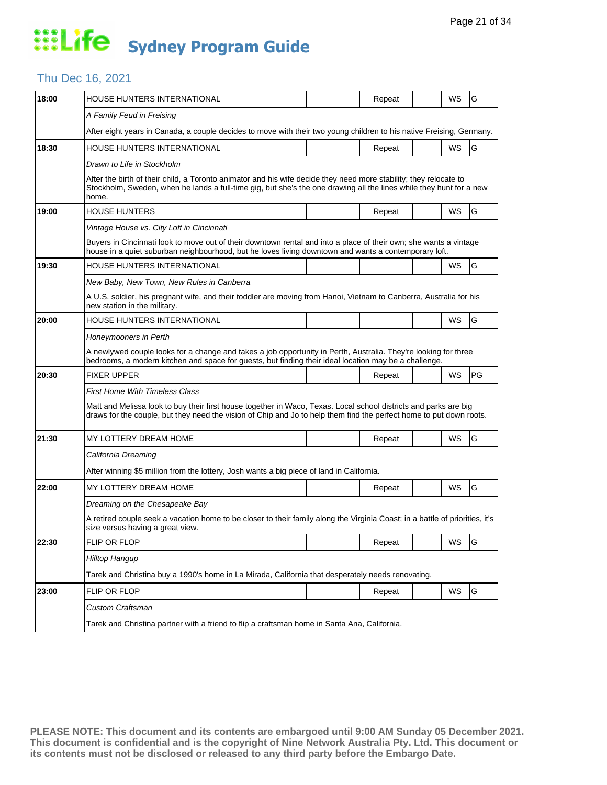#### Thu Dec 16, 2021

| 18:00 | HOUSE HUNTERS INTERNATIONAL                                                                                                                                                                                                                       |  | Repeat |  | WS | G             |  |  |  |
|-------|---------------------------------------------------------------------------------------------------------------------------------------------------------------------------------------------------------------------------------------------------|--|--------|--|----|---------------|--|--|--|
|       | A Family Feud in Freising                                                                                                                                                                                                                         |  |        |  |    |               |  |  |  |
|       | After eight years in Canada, a couple decides to move with their two young children to his native Freising, Germany.                                                                                                                              |  |        |  |    |               |  |  |  |
| 18:30 | HOUSE HUNTERS INTERNATIONAL                                                                                                                                                                                                                       |  | Repeat |  | WS | G             |  |  |  |
|       | Drawn to Life in Stockholm                                                                                                                                                                                                                        |  |        |  |    |               |  |  |  |
|       | After the birth of their child, a Toronto animator and his wife decide they need more stability; they relocate to<br>Stockholm, Sweden, when he lands a full-time gig, but she's the one drawing all the lines while they hunt for a new<br>home. |  |        |  |    |               |  |  |  |
| 19:00 | <b>HOUSE HUNTERS</b>                                                                                                                                                                                                                              |  | Repeat |  | WS | G             |  |  |  |
|       | Vintage House vs. City Loft in Cincinnati                                                                                                                                                                                                         |  |        |  |    |               |  |  |  |
|       | Buyers in Cincinnati look to move out of their downtown rental and into a place of their own; she wants a vintage<br>house in a quiet suburban neighbourhood, but he loves living downtown and wants a contemporary loft.                         |  |        |  |    |               |  |  |  |
| 19:30 | HOUSE HUNTERS INTERNATIONAL                                                                                                                                                                                                                       |  |        |  | WS | G             |  |  |  |
|       | New Baby, New Town, New Rules in Canberra                                                                                                                                                                                                         |  |        |  |    |               |  |  |  |
|       | A U.S. soldier, his pregnant wife, and their toddler are moving from Hanoi, Vietnam to Canberra, Australia for his<br>new station in the military.                                                                                                |  |        |  |    |               |  |  |  |
| 20:00 | HOUSE HUNTERS INTERNATIONAL                                                                                                                                                                                                                       |  |        |  | WS | G             |  |  |  |
|       | Honeymooners in Perth                                                                                                                                                                                                                             |  |        |  |    |               |  |  |  |
|       | A newlywed couple looks for a change and takes a job opportunity in Perth, Australia. They're looking for three<br>bedrooms, a modern kitchen and space for guests, but finding their ideal location may be a challenge.                          |  |        |  |    |               |  |  |  |
| 20:30 | <b>FIXER UPPER</b>                                                                                                                                                                                                                                |  | Repeat |  | WS | PG            |  |  |  |
|       | First Home With Timeless Class                                                                                                                                                                                                                    |  |        |  |    |               |  |  |  |
|       | Matt and Melissa look to buy their first house together in Waco, Texas. Local school districts and parks are big<br>draws for the couple, but they need the vision of Chip and Jo to help them find the perfect home to put down roots.           |  |        |  |    |               |  |  |  |
| 21:30 | MY LOTTERY DREAM HOME                                                                                                                                                                                                                             |  | Repeat |  | WS | G             |  |  |  |
|       | California Dreaming                                                                                                                                                                                                                               |  |        |  |    |               |  |  |  |
|       | After winning \$5 million from the lottery, Josh wants a big piece of land in California.                                                                                                                                                         |  |        |  |    |               |  |  |  |
| 22:00 | MY LOTTERY DREAM HOME                                                                                                                                                                                                                             |  | Repeat |  | WS | G             |  |  |  |
|       | Dreaming on the Chesapeake Bay                                                                                                                                                                                                                    |  |        |  |    |               |  |  |  |
|       | A retired couple seek a vacation home to be closer to their family along the Virginia Coast; in a battle of priorities, it's<br>size versus having a great view.                                                                                  |  |        |  |    |               |  |  |  |
| 22:30 | FLIP OR FLOP                                                                                                                                                                                                                                      |  | Repeat |  | WS | ${\mathsf G}$ |  |  |  |
|       | <b>Hilltop Hangup</b>                                                                                                                                                                                                                             |  |        |  |    |               |  |  |  |
|       | Tarek and Christina buy a 1990's home in La Mirada, California that desperately needs renovating.                                                                                                                                                 |  |        |  |    |               |  |  |  |
| 23:00 | FLIP OR FLOP                                                                                                                                                                                                                                      |  | Repeat |  | WS | G             |  |  |  |
|       | <b>Custom Craftsman</b>                                                                                                                                                                                                                           |  |        |  |    |               |  |  |  |
|       |                                                                                                                                                                                                                                                   |  |        |  |    |               |  |  |  |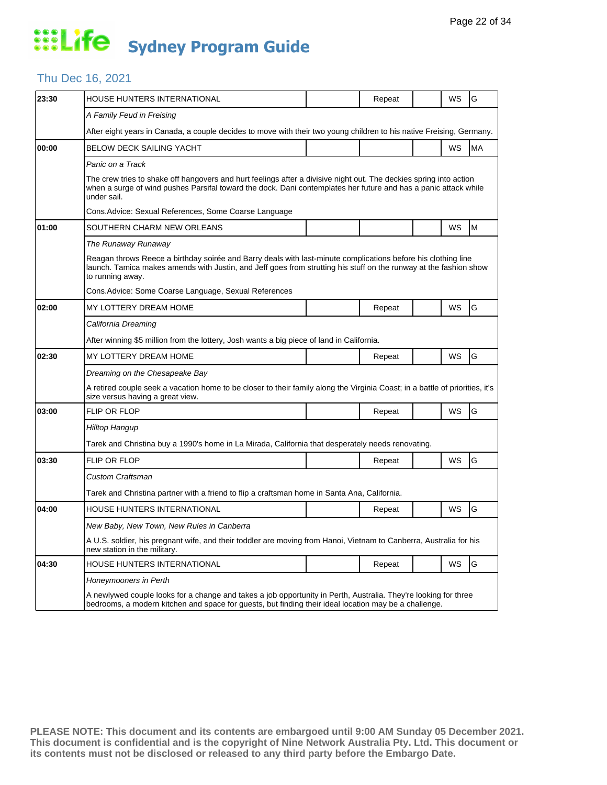#### Thu Dec 16, 2021

| 23:30 | <b>HOUSE HUNTERS INTERNATIONAL</b>                                                                                                                                                                                                                     |  | Repeat |  | WS | G         |  |  |  |  |
|-------|--------------------------------------------------------------------------------------------------------------------------------------------------------------------------------------------------------------------------------------------------------|--|--------|--|----|-----------|--|--|--|--|
|       | A Family Feud in Freising                                                                                                                                                                                                                              |  |        |  |    |           |  |  |  |  |
|       | After eight years in Canada, a couple decides to move with their two young children to his native Freising, Germany.                                                                                                                                   |  |        |  |    |           |  |  |  |  |
| 00:00 | <b>BELOW DECK SAILING YACHT</b>                                                                                                                                                                                                                        |  |        |  | WS | <b>MA</b> |  |  |  |  |
|       | Panic on a Track                                                                                                                                                                                                                                       |  |        |  |    |           |  |  |  |  |
|       | The crew tries to shake off hangovers and hurt feelings after a divisive night out. The deckies spring into action<br>when a surge of wind pushes Parsifal toward the dock. Dani contemplates her future and has a panic attack while<br>under sail.   |  |        |  |    |           |  |  |  |  |
|       | Cons. Advice: Sexual References, Some Coarse Language                                                                                                                                                                                                  |  |        |  |    |           |  |  |  |  |
| 01:00 | SOUTHERN CHARM NEW ORLEANS                                                                                                                                                                                                                             |  |        |  | WS | M         |  |  |  |  |
|       | The Runaway Runaway                                                                                                                                                                                                                                    |  |        |  |    |           |  |  |  |  |
|       | Reagan throws Reece a birthday soirée and Barry deals with last-minute complications before his clothing line<br>launch. Tamica makes amends with Justin, and Jeff goes from strutting his stuff on the runway at the fashion show<br>to running away. |  |        |  |    |           |  |  |  |  |
|       | Cons. Advice: Some Coarse Language, Sexual References                                                                                                                                                                                                  |  |        |  |    |           |  |  |  |  |
| 02:00 | MY LOTTERY DREAM HOME                                                                                                                                                                                                                                  |  | Repeat |  | WS | G         |  |  |  |  |
|       | California Dreaming                                                                                                                                                                                                                                    |  |        |  |    |           |  |  |  |  |
|       | After winning \$5 million from the lottery, Josh wants a big piece of land in California.                                                                                                                                                              |  |        |  |    |           |  |  |  |  |
| 02:30 | MY LOTTERY DREAM HOME                                                                                                                                                                                                                                  |  | Repeat |  | WS | G         |  |  |  |  |
|       | Dreaming on the Chesapeake Bay                                                                                                                                                                                                                         |  |        |  |    |           |  |  |  |  |
|       | A retired couple seek a vacation home to be closer to their family along the Virginia Coast; in a battle of priorities, it's<br>size versus having a great view.                                                                                       |  |        |  |    |           |  |  |  |  |
| 03:00 | <b>FLIP OR FLOP</b>                                                                                                                                                                                                                                    |  | Repeat |  | WS | G         |  |  |  |  |
|       | Hilltop Hangup                                                                                                                                                                                                                                         |  |        |  |    |           |  |  |  |  |
|       | Tarek and Christina buy a 1990's home in La Mirada, California that desperately needs renovating.                                                                                                                                                      |  |        |  |    |           |  |  |  |  |
| 03:30 | <b>FLIP OR FLOP</b>                                                                                                                                                                                                                                    |  | Repeat |  | WS | G         |  |  |  |  |
|       | <b>Custom Craftsman</b>                                                                                                                                                                                                                                |  |        |  |    |           |  |  |  |  |
|       | Tarek and Christina partner with a friend to flip a craftsman home in Santa Ana, California.                                                                                                                                                           |  |        |  |    |           |  |  |  |  |
| 04:00 | HOUSE HUNTERS INTERNATIONAL                                                                                                                                                                                                                            |  | Repeat |  | WS | G         |  |  |  |  |
|       | New Baby, New Town, New Rules in Canberra                                                                                                                                                                                                              |  |        |  |    |           |  |  |  |  |
|       | A U.S. soldier, his pregnant wife, and their toddler are moving from Hanoi, Vietnam to Canberra, Australia for his<br>new station in the military.                                                                                                     |  |        |  |    |           |  |  |  |  |
| 04:30 | <b>HOUSE HUNTERS INTERNATIONAL</b>                                                                                                                                                                                                                     |  | Repeat |  | WS | G         |  |  |  |  |
|       | Honeymooners in Perth<br>A newlywed couple looks for a change and takes a job opportunity in Perth, Australia. They're looking for three                                                                                                               |  |        |  |    |           |  |  |  |  |
|       | bedrooms, a modern kitchen and space for guests, but finding their ideal location may be a challenge.                                                                                                                                                  |  |        |  |    |           |  |  |  |  |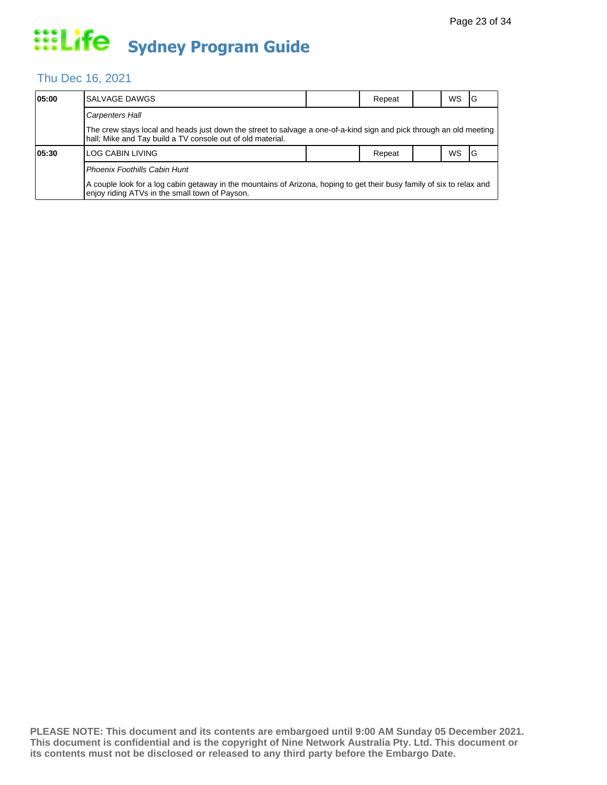#### Thu Dec 16, 2021

| 05:00 | SALVAGE DAWGS                                                                                                                                                                     |  | Repeat |  | <b>WS</b> | IG |  |  |
|-------|-----------------------------------------------------------------------------------------------------------------------------------------------------------------------------------|--|--------|--|-----------|----|--|--|
|       | <b>Carpenters Hall</b>                                                                                                                                                            |  |        |  |           |    |  |  |
|       | The crew stays local and heads just down the street to salvage a one-of-a-kind sign and pick through an old meeting<br>hall; Mike and Tay build a TV console out of old material. |  |        |  |           |    |  |  |
| 05:30 | LOG CABIN LIVING                                                                                                                                                                  |  | Repeat |  | <b>WS</b> | ΙG |  |  |
|       | Phoenix Foothills Cabin Hunt                                                                                                                                                      |  |        |  |           |    |  |  |
|       | A couple look for a log cabin getaway in the mountains of Arizona, hoping to get their busy family of six to relax and<br>enjoy riding ATVs in the small town of Payson.          |  |        |  |           |    |  |  |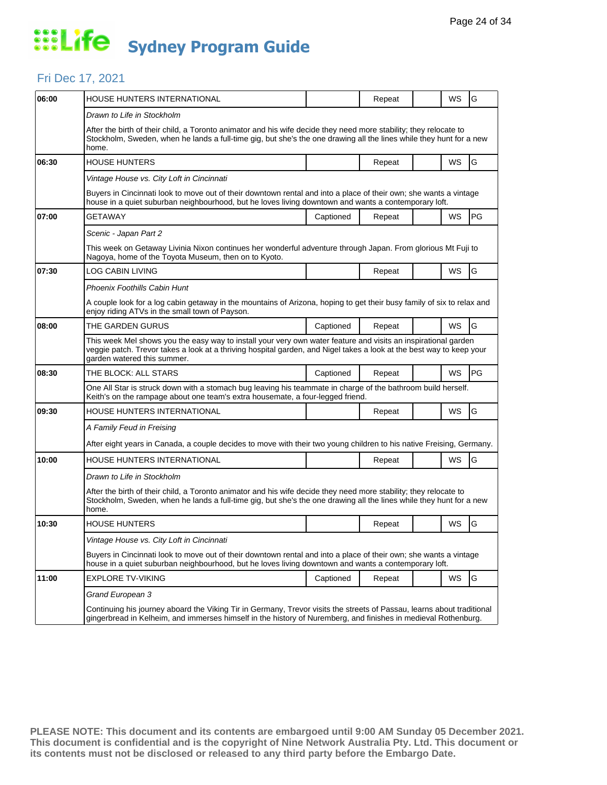#### Fri Dec 17, 2021

| 06:00 | HOUSE HUNTERS INTERNATIONAL                                                                                                                                                                                                                                           |           | Repeat |  | WS        | G  |  |  |  |
|-------|-----------------------------------------------------------------------------------------------------------------------------------------------------------------------------------------------------------------------------------------------------------------------|-----------|--------|--|-----------|----|--|--|--|
|       | Drawn to Life in Stockholm                                                                                                                                                                                                                                            |           |        |  |           |    |  |  |  |
|       | After the birth of their child, a Toronto animator and his wife decide they need more stability; they relocate to<br>Stockholm, Sweden, when he lands a full-time gig, but she's the one drawing all the lines while they hunt for a new<br>home.                     |           |        |  |           |    |  |  |  |
| 06:30 | <b>HOUSE HUNTERS</b>                                                                                                                                                                                                                                                  |           | Repeat |  | WS        | G  |  |  |  |
|       | Vintage House vs. City Loft in Cincinnati                                                                                                                                                                                                                             |           |        |  |           |    |  |  |  |
|       | Buyers in Cincinnati look to move out of their downtown rental and into a place of their own; she wants a vintage<br>house in a quiet suburban neighbourhood, but he loves living downtown and wants a contemporary loft.                                             |           |        |  |           |    |  |  |  |
| 07:00 | GETAWAY                                                                                                                                                                                                                                                               | Captioned | Repeat |  | WS        | PG |  |  |  |
|       | Scenic - Japan Part 2                                                                                                                                                                                                                                                 |           |        |  |           |    |  |  |  |
|       | This week on Getaway Livinia Nixon continues her wonderful adventure through Japan. From glorious Mt Fuji to<br>Nagoya, home of the Toyota Museum, then on to Kyoto.                                                                                                  |           |        |  |           |    |  |  |  |
| 07:30 | <b>LOG CABIN LIVING</b>                                                                                                                                                                                                                                               |           | Repeat |  | WS        | G  |  |  |  |
|       | Phoenix Foothills Cabin Hunt                                                                                                                                                                                                                                          |           |        |  |           |    |  |  |  |
|       | A couple look for a log cabin getaway in the mountains of Arizona, hoping to get their busy family of six to relax and<br>enjoy riding ATVs in the small town of Payson.                                                                                              |           |        |  |           |    |  |  |  |
| 08:00 | THE GARDEN GURUS                                                                                                                                                                                                                                                      | Captioned | Repeat |  | WS        | G  |  |  |  |
|       | This week Mel shows you the easy way to install your very own water feature and visits an inspirational garden<br>veggie patch. Trevor takes a look at a thriving hospital garden, and Nigel takes a look at the best way to keep your<br>garden watered this summer. |           |        |  |           |    |  |  |  |
| 08:30 | THE BLOCK: ALL STARS                                                                                                                                                                                                                                                  | Captioned | Repeat |  | <b>WS</b> | PG |  |  |  |
|       | One All Star is struck down with a stomach bug leaving his teammate in charge of the bathroom build herself.<br>Keith's on the rampage about one team's extra housemate, a four-legged friend.                                                                        |           |        |  |           |    |  |  |  |
| 09:30 | HOUSE HUNTERS INTERNATIONAL                                                                                                                                                                                                                                           |           | Repeat |  | WS        | G  |  |  |  |
|       | A Family Feud in Freising                                                                                                                                                                                                                                             |           |        |  |           |    |  |  |  |
|       | After eight years in Canada, a couple decides to move with their two young children to his native Freising, Germany.                                                                                                                                                  |           |        |  |           |    |  |  |  |
| 10:00 | HOUSE HUNTERS INTERNATIONAL                                                                                                                                                                                                                                           |           | Repeat |  | WS        | G  |  |  |  |
|       | Drawn to Life in Stockholm                                                                                                                                                                                                                                            |           |        |  |           |    |  |  |  |
|       | After the birth of their child, a Toronto animator and his wife decide they need more stability; they relocate to<br>Stockholm, Sweden, when he lands a full-time gig, but she's the one drawing all the lines while they hunt for a new<br>home.                     |           |        |  |           |    |  |  |  |
| 10:30 | <b>HOUSE HUNTERS</b>                                                                                                                                                                                                                                                  |           | Repeat |  | WS        | G  |  |  |  |
|       | Vintage House vs. City Loft in Cincinnati                                                                                                                                                                                                                             |           |        |  |           |    |  |  |  |
|       | Buyers in Cincinnati look to move out of their downtown rental and into a place of their own; she wants a vintage<br>house in a quiet suburban neighbourhood, but he loves living downtown and wants a contemporary loft.                                             |           |        |  |           |    |  |  |  |
| 11:00 | <b>EXPLORE TV-VIKING</b>                                                                                                                                                                                                                                              | Captioned | Repeat |  | WS        | G  |  |  |  |
|       | Grand European 3                                                                                                                                                                                                                                                      |           |        |  |           |    |  |  |  |
|       | Continuing his journey aboard the Viking Tir in Germany, Trevor visits the streets of Passau, learns about traditional<br>gingerbread in Kelheim, and immerses himself in the history of Nuremberg, and finishes in medieval Rothenburg.                              |           |        |  |           |    |  |  |  |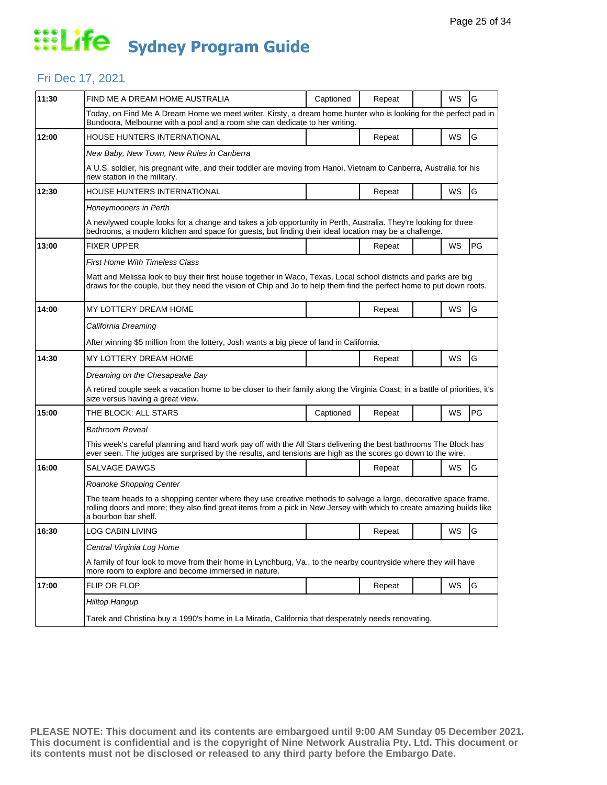#### Fri Dec 17, 2021

| 11:30 | FIND ME A DREAM HOME AUSTRALIA                                                                                                                                                                                                                                   | Captioned | Repeat |  | WS                         | G  |  |  |  |
|-------|------------------------------------------------------------------------------------------------------------------------------------------------------------------------------------------------------------------------------------------------------------------|-----------|--------|--|----------------------------|----|--|--|--|
|       | Today, on Find Me A Dream Home we meet writer, Kirsty, a dream home hunter who is looking for the perfect pad in<br>Bundoora, Melbourne with a pool and a room she can dedicate to her writing.                                                                  |           |        |  |                            |    |  |  |  |
| 12:00 | HOUSE HUNTERS INTERNATIONAL                                                                                                                                                                                                                                      |           | Repeat |  | WS                         | G  |  |  |  |
|       | New Baby, New Town, New Rules in Canberra                                                                                                                                                                                                                        |           |        |  |                            |    |  |  |  |
|       | A U.S. soldier, his pregnant wife, and their toddler are moving from Hanoi, Vietnam to Canberra, Australia for his<br>new station in the military.                                                                                                               |           |        |  | WS<br>WS<br>WS<br>WS<br>WS |    |  |  |  |
| 12:30 | HOUSE HUNTERS INTERNATIONAL                                                                                                                                                                                                                                      |           | Repeat |  |                            | G  |  |  |  |
|       | Honeymooners in Perth                                                                                                                                                                                                                                            |           |        |  |                            |    |  |  |  |
|       | A newlywed couple looks for a change and takes a job opportunity in Perth, Australia. They're looking for three<br>bedrooms, a modern kitchen and space for guests, but finding their ideal location may be a challenge.                                         |           |        |  |                            |    |  |  |  |
| 13:00 | <b>FIXER UPPER</b>                                                                                                                                                                                                                                               |           | Repeat |  |                            | PG |  |  |  |
|       | <b>First Home With Timeless Class</b>                                                                                                                                                                                                                            |           |        |  |                            |    |  |  |  |
|       | Matt and Melissa look to buy their first house together in Waco, Texas. Local school districts and parks are big<br>draws for the couple, but they need the vision of Chip and Jo to help them find the perfect home to put down roots.                          |           |        |  |                            |    |  |  |  |
| 14:00 | MY LOTTERY DREAM HOME                                                                                                                                                                                                                                            |           | Repeat |  |                            | G  |  |  |  |
|       | California Dreaming                                                                                                                                                                                                                                              |           |        |  |                            |    |  |  |  |
|       | After winning \$5 million from the lottery, Josh wants a big piece of land in California.                                                                                                                                                                        |           |        |  |                            |    |  |  |  |
| 14:30 | MY LOTTERY DREAM HOME                                                                                                                                                                                                                                            |           | Repeat |  |                            | G  |  |  |  |
|       | Dreaming on the Chesapeake Bay                                                                                                                                                                                                                                   |           |        |  |                            |    |  |  |  |
|       | A retired couple seek a vacation home to be closer to their family along the Virginia Coast; in a battle of priorities, it's<br>size versus having a great view.                                                                                                 |           |        |  |                            |    |  |  |  |
| 15:00 | THE BLOCK: ALL STARS                                                                                                                                                                                                                                             | Captioned | Repeat |  |                            | PG |  |  |  |
|       | <b>Bathroom Reveal</b>                                                                                                                                                                                                                                           |           |        |  |                            |    |  |  |  |
|       | This week's careful planning and hard work pay off with the All Stars delivering the best bathrooms The Block has<br>ever seen. The judges are surprised by the results, and tensions are high as the scores go down to the wire.                                |           |        |  |                            |    |  |  |  |
| 16:00 | <b>SALVAGE DAWGS</b>                                                                                                                                                                                                                                             |           | Repeat |  | <b>WS</b>                  | G  |  |  |  |
|       | Roanoke Shopping Center                                                                                                                                                                                                                                          |           |        |  |                            |    |  |  |  |
|       | The team heads to a shopping center where they use creative methods to salvage a large, decorative space frame,<br>rolling doors and more; they also find great items from a pick in New Jersey with which to create amazing builds like<br>a bourbon bar shelf. |           |        |  |                            |    |  |  |  |
| 16:30 | <b>LOG CABIN LIVING</b>                                                                                                                                                                                                                                          |           | Repeat |  | WS                         | lG |  |  |  |
|       | Central Virginia Log Home                                                                                                                                                                                                                                        |           |        |  |                            |    |  |  |  |
|       | A family of four look to move from their home in Lynchburg, Va., to the nearby countryside where they will have<br>more room to explore and become immersed in nature.                                                                                           |           |        |  |                            |    |  |  |  |
| 17:00 | FLIP OR FLOP                                                                                                                                                                                                                                                     |           | Repeat |  | WS                         | G  |  |  |  |
|       | Hilltop Hangup                                                                                                                                                                                                                                                   |           |        |  |                            |    |  |  |  |
|       | Tarek and Christina buy a 1990's home in La Mirada, California that desperately needs renovating.                                                                                                                                                                |           |        |  |                            |    |  |  |  |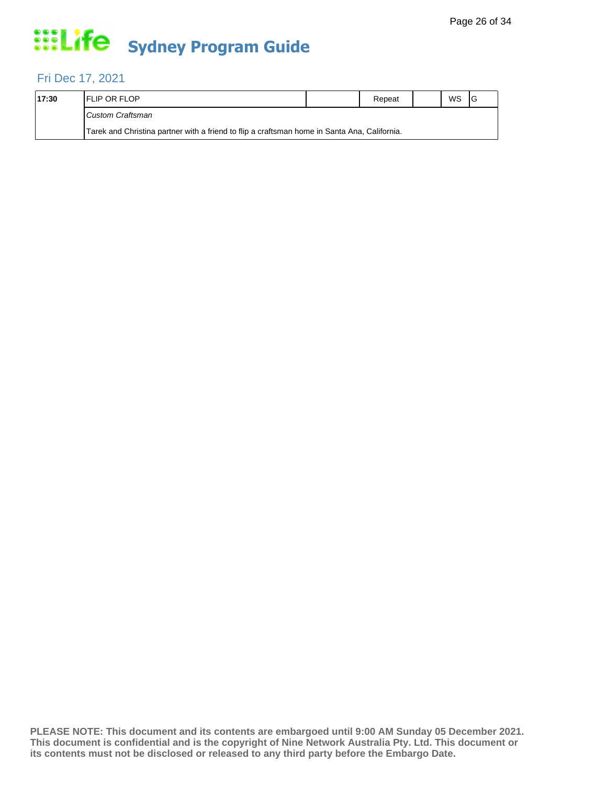#### Fri Dec 17, 2021

| 17:30 | <b>IFLIP OR FLOP</b>                                                                         | Repeat | WS |  |
|-------|----------------------------------------------------------------------------------------------|--------|----|--|
|       | Custom Craftsman                                                                             |        |    |  |
|       | Tarek and Christina partner with a friend to flip a craftsman home in Santa Ana, California. |        |    |  |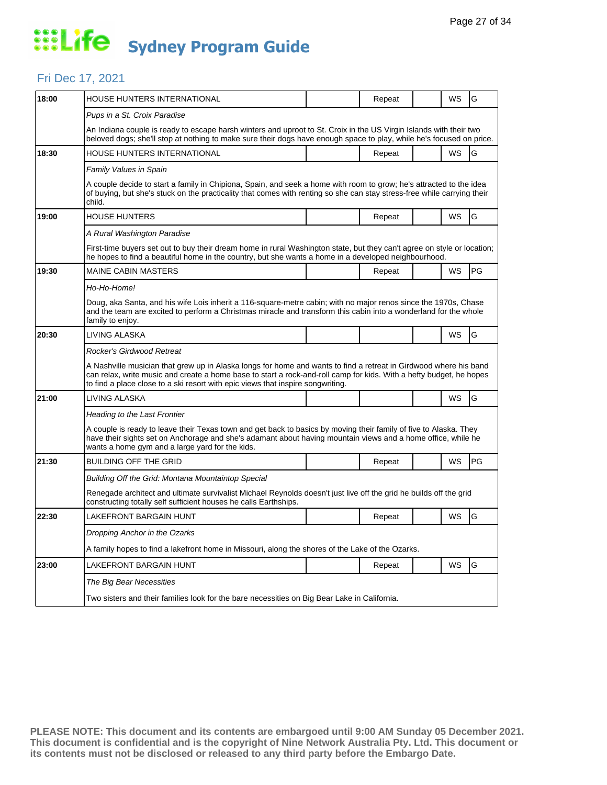#### Fri Dec 17, 2021

| 18:00 | HOUSE HUNTERS INTERNATIONAL                                                                                                                                                                                                                                                                                                 |  | Repeat |  | WS                    | G  |  |  |  |
|-------|-----------------------------------------------------------------------------------------------------------------------------------------------------------------------------------------------------------------------------------------------------------------------------------------------------------------------------|--|--------|--|-----------------------|----|--|--|--|
|       | Pups in a St. Croix Paradise                                                                                                                                                                                                                                                                                                |  |        |  |                       |    |  |  |  |
|       | An Indiana couple is ready to escape harsh winters and uproot to St. Croix in the US Virgin Islands with their two<br>beloved dogs; she'll stop at nothing to make sure their dogs have enough space to play, while he's focused on price.                                                                                  |  |        |  |                       |    |  |  |  |
| 18:30 | HOUSE HUNTERS INTERNATIONAL                                                                                                                                                                                                                                                                                                 |  | Repeat |  | WS                    | G  |  |  |  |
|       | Family Values in Spain                                                                                                                                                                                                                                                                                                      |  |        |  |                       |    |  |  |  |
|       | A couple decide to start a family in Chipiona, Spain, and seek a home with room to grow; he's attracted to the idea<br>of buying, but she's stuck on the practicality that comes with renting so she can stay stress-free while carrying their<br>child.                                                                    |  |        |  | WS<br><b>WS</b><br>WS |    |  |  |  |
| 19:00 | HOUSE HUNTERS                                                                                                                                                                                                                                                                                                               |  | Repeat |  |                       | G  |  |  |  |
|       | A Rural Washington Paradise                                                                                                                                                                                                                                                                                                 |  |        |  |                       |    |  |  |  |
|       | First-time buyers set out to buy their dream home in rural Washington state, but they can't agree on style or location;<br>he hopes to find a beautiful home in the country, but she wants a home in a developed neighbourhood.                                                                                             |  |        |  |                       |    |  |  |  |
| 19:30 | <b>MAINE CABIN MASTERS</b>                                                                                                                                                                                                                                                                                                  |  | Repeat |  |                       | PG |  |  |  |
|       | Ho-Ho-Home!                                                                                                                                                                                                                                                                                                                 |  |        |  |                       |    |  |  |  |
|       | Doug, aka Santa, and his wife Lois inherit a 116-square-metre cabin; with no major renos since the 1970s, Chase<br>and the team are excited to perform a Christmas miracle and transform this cabin into a wonderland for the whole<br>family to enjoy.                                                                     |  |        |  |                       |    |  |  |  |
| 20:30 | LIVING ALASKA                                                                                                                                                                                                                                                                                                               |  |        |  |                       | G  |  |  |  |
|       | Rocker's Girdwood Retreat                                                                                                                                                                                                                                                                                                   |  |        |  |                       |    |  |  |  |
|       | A Nashville musician that grew up in Alaska longs for home and wants to find a retreat in Girdwood where his band<br>can relax, write music and create a home base to start a rock-and-roll camp for kids. With a hefty budget, he hopes<br>to find a place close to a ski resort with epic views that inspire songwriting. |  |        |  |                       |    |  |  |  |
| 21:00 | LIVING ALASKA                                                                                                                                                                                                                                                                                                               |  |        |  |                       |    |  |  |  |
|       |                                                                                                                                                                                                                                                                                                                             |  |        |  | WS                    | G  |  |  |  |
|       | <b>Heading to the Last Frontier</b>                                                                                                                                                                                                                                                                                         |  |        |  |                       |    |  |  |  |
|       | A couple is ready to leave their Texas town and get back to basics by moving their family of five to Alaska. They<br>have their sights set on Anchorage and she's adamant about having mountain views and a home office, while he<br>wants a home gym and a large yard for the kids.                                        |  |        |  |                       |    |  |  |  |
| 21:30 | <b>BUILDING OFF THE GRID</b>                                                                                                                                                                                                                                                                                                |  | Repeat |  | WS                    | PG |  |  |  |
|       | Building Off the Grid: Montana Mountaintop Special                                                                                                                                                                                                                                                                          |  |        |  |                       |    |  |  |  |
|       | Renegade architect and ultimate survivalist Michael Reynolds doesn't just live off the grid he builds off the grid<br>constructing totally self sufficient houses he calls Earthships.                                                                                                                                      |  |        |  |                       |    |  |  |  |
| 22:30 | LAKEFRONT BARGAIN HUNT                                                                                                                                                                                                                                                                                                      |  | Repeat |  | WS                    | G  |  |  |  |
|       | Dropping Anchor in the Ozarks                                                                                                                                                                                                                                                                                               |  |        |  |                       |    |  |  |  |
|       | A family hopes to find a lakefront home in Missouri, along the shores of the Lake of the Ozarks.                                                                                                                                                                                                                            |  |        |  |                       |    |  |  |  |
| 23:00 | LAKEFRONT BARGAIN HUNT                                                                                                                                                                                                                                                                                                      |  | Repeat |  | WS                    | G  |  |  |  |
|       | The Big Bear Necessities                                                                                                                                                                                                                                                                                                    |  |        |  |                       |    |  |  |  |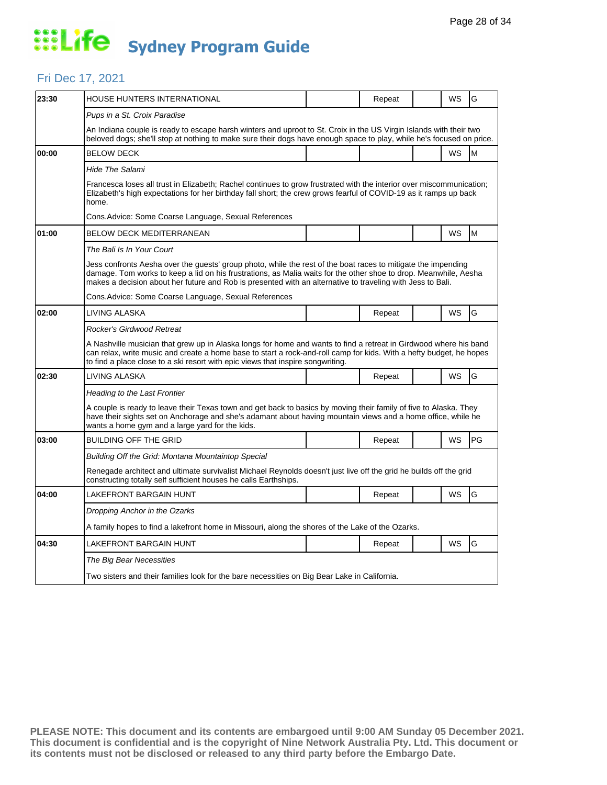#### Fri Dec 17, 2021

| 23:30 | HOUSE HUNTERS INTERNATIONAL                                                                                                                                                                                                                                                                                                                     |  | Repeat |                      | WS        | G  |  |  |  |
|-------|-------------------------------------------------------------------------------------------------------------------------------------------------------------------------------------------------------------------------------------------------------------------------------------------------------------------------------------------------|--|--------|----------------------|-----------|----|--|--|--|
|       | Pups in a St. Croix Paradise                                                                                                                                                                                                                                                                                                                    |  |        | WS<br>WS<br>WS<br>WS |           |    |  |  |  |
|       | An Indiana couple is ready to escape harsh winters and uproot to St. Croix in the US Virgin Islands with their two<br>beloved dogs; she'll stop at nothing to make sure their dogs have enough space to play, while he's focused on price.                                                                                                      |  |        |                      |           |    |  |  |  |
| 00:00 | <b>BELOW DECK</b>                                                                                                                                                                                                                                                                                                                               |  |        |                      |           | M  |  |  |  |
|       | Hide The Salami                                                                                                                                                                                                                                                                                                                                 |  |        |                      |           |    |  |  |  |
|       | Francesca loses all trust in Elizabeth; Rachel continues to grow frustrated with the interior over miscommunication;<br>Elizabeth's high expectations for her birthday fall short; the crew grows fearful of COVID-19 as it ramps up back<br>home.                                                                                              |  |        |                      |           |    |  |  |  |
|       | Cons. Advice: Some Coarse Language, Sexual References                                                                                                                                                                                                                                                                                           |  |        |                      |           |    |  |  |  |
| 01:00 | BELOW DECK MEDITERRANEAN                                                                                                                                                                                                                                                                                                                        |  |        |                      |           | M  |  |  |  |
|       | The Bali Is In Your Court                                                                                                                                                                                                                                                                                                                       |  |        |                      |           |    |  |  |  |
|       | Jess confronts Aesha over the guests' group photo, while the rest of the boat races to mitigate the impending<br>damage. Tom works to keep a lid on his frustrations, as Malia waits for the other shoe to drop. Meanwhile, Aesha<br>makes a decision about her future and Rob is presented with an alternative to traveling with Jess to Bali. |  |        |                      |           |    |  |  |  |
|       | Cons.Advice: Some Coarse Language, Sexual References                                                                                                                                                                                                                                                                                            |  |        |                      |           |    |  |  |  |
| 02:00 | LIVING ALASKA                                                                                                                                                                                                                                                                                                                                   |  | Repeat |                      |           | G  |  |  |  |
|       | Rocker's Girdwood Retreat                                                                                                                                                                                                                                                                                                                       |  |        |                      |           |    |  |  |  |
|       | A Nashville musician that grew up in Alaska longs for home and wants to find a retreat in Girdwood where his band<br>can relax, write music and create a home base to start a rock-and-roll camp for kids. With a hefty budget, he hopes<br>to find a place close to a ski resort with epic views that inspire songwriting.                     |  |        |                      |           |    |  |  |  |
| 02:30 | LIVING ALASKA                                                                                                                                                                                                                                                                                                                                   |  | Repeat |                      |           | G  |  |  |  |
|       | <b>Heading to the Last Frontier</b>                                                                                                                                                                                                                                                                                                             |  |        |                      |           |    |  |  |  |
|       | A couple is ready to leave their Texas town and get back to basics by moving their family of five to Alaska. They<br>have their sights set on Anchorage and she's adamant about having mountain views and a home office, while he<br>wants a home gym and a large yard for the kids.                                                            |  |        |                      |           |    |  |  |  |
| 03:00 | <b>BUILDING OFF THE GRID</b>                                                                                                                                                                                                                                                                                                                    |  | Repeat |                      | WS        | PG |  |  |  |
|       | Building Off the Grid: Montana Mountaintop Special                                                                                                                                                                                                                                                                                              |  |        |                      |           |    |  |  |  |
|       | Renegade architect and ultimate survivalist Michael Reynolds doesn't just live off the grid he builds off the grid<br>constructing totally self sufficient houses he calls Earthships.                                                                                                                                                          |  |        |                      |           |    |  |  |  |
| 04:00 | LAKEFRONT BARGAIN HUNT                                                                                                                                                                                                                                                                                                                          |  | Repeat |                      | <b>WS</b> | G  |  |  |  |
|       | Dropping Anchor in the Ozarks                                                                                                                                                                                                                                                                                                                   |  |        |                      |           |    |  |  |  |
|       | A family hopes to find a lakefront home in Missouri, along the shores of the Lake of the Ozarks.                                                                                                                                                                                                                                                |  |        |                      |           |    |  |  |  |
| 04:30 | LAKEFRONT BARGAIN HUNT                                                                                                                                                                                                                                                                                                                          |  | Repeat |                      | WS        | G  |  |  |  |
|       | The Big Bear Necessities                                                                                                                                                                                                                                                                                                                        |  |        |                      |           |    |  |  |  |
|       |                                                                                                                                                                                                                                                                                                                                                 |  |        |                      |           |    |  |  |  |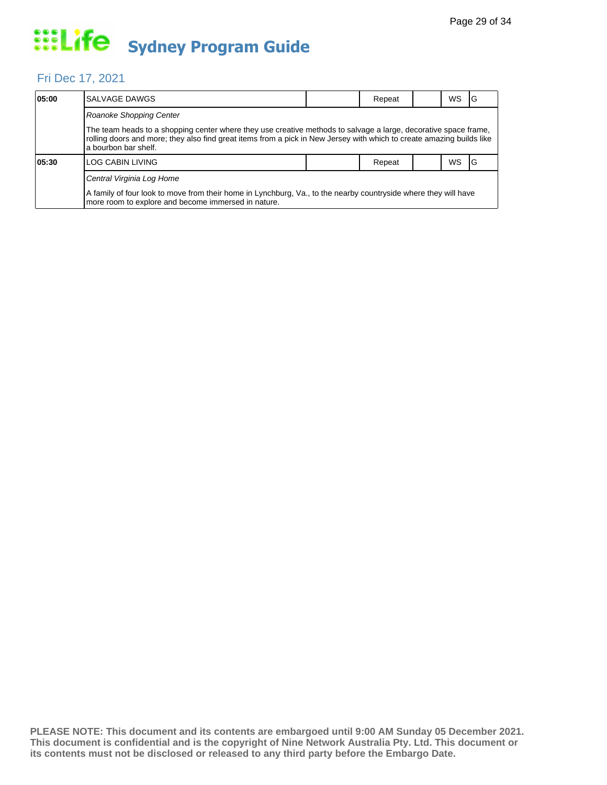#### Fri Dec 17, 2021

| 05:00 | SALVAGE DAWGS                                                                                                                                                                                                                                                     |  | Repeat |  | <b>WS</b> | IG |  |  |  |
|-------|-------------------------------------------------------------------------------------------------------------------------------------------------------------------------------------------------------------------------------------------------------------------|--|--------|--|-----------|----|--|--|--|
|       | Roanoke Shopping Center                                                                                                                                                                                                                                           |  |        |  |           |    |  |  |  |
|       | The team heads to a shopping center where they use creative methods to salvage a large, decorative space frame,<br>rolling doors and more; they also find great items from a pick in New Jersey with which to create amazing builds like<br>la bourbon bar shelf. |  |        |  |           |    |  |  |  |
| 05:30 | LOG CABIN LIVING                                                                                                                                                                                                                                                  |  | Repeat |  | <b>WS</b> | 1G |  |  |  |
|       | Central Virginia Log Home                                                                                                                                                                                                                                         |  |        |  |           |    |  |  |  |
|       | A family of four look to move from their home in Lynchburg, Va., to the nearby countryside where they will have<br>more room to explore and become immersed in nature.                                                                                            |  |        |  |           |    |  |  |  |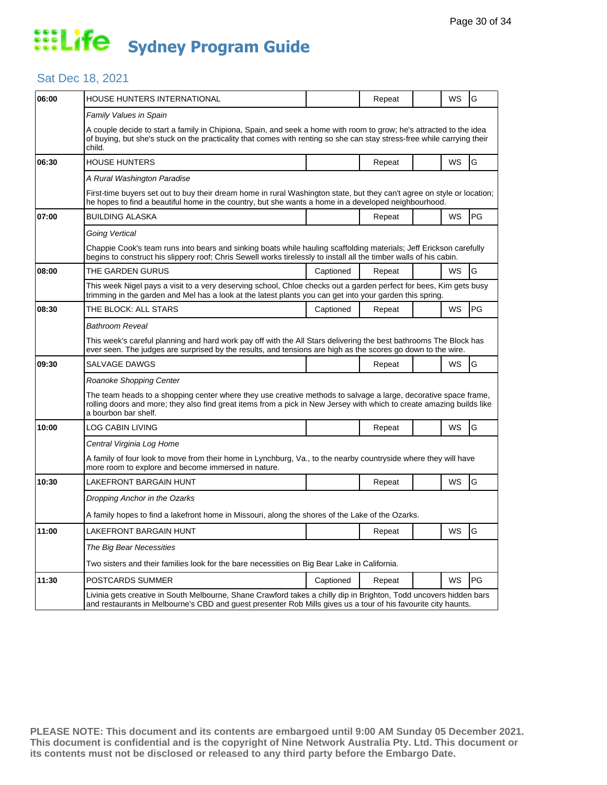#### Sat Dec 18, 2021

| 06:00 | HOUSE HUNTERS INTERNATIONAL                                                                                                                                                                                                                              |                                                                                                                                                                                                                                          | Repeat |  | WS | G  |  |  |  |  |
|-------|----------------------------------------------------------------------------------------------------------------------------------------------------------------------------------------------------------------------------------------------------------|------------------------------------------------------------------------------------------------------------------------------------------------------------------------------------------------------------------------------------------|--------|--|----|----|--|--|--|--|
|       | Family Values in Spain                                                                                                                                                                                                                                   |                                                                                                                                                                                                                                          |        |  |    |    |  |  |  |  |
|       | A couple decide to start a family in Chipiona, Spain, and seek a home with room to grow; he's attracted to the idea<br>of buying, but she's stuck on the practicality that comes with renting so she can stay stress-free while carrying their<br>child. |                                                                                                                                                                                                                                          |        |  |    |    |  |  |  |  |
| 06:30 | <b>HOUSE HUNTERS</b>                                                                                                                                                                                                                                     |                                                                                                                                                                                                                                          | Repeat |  | WS | G  |  |  |  |  |
|       | A Rural Washington Paradise                                                                                                                                                                                                                              |                                                                                                                                                                                                                                          |        |  |    |    |  |  |  |  |
|       | First-time buyers set out to buy their dream home in rural Washington state, but they can't agree on style or location;<br>he hopes to find a beautiful home in the country, but she wants a home in a developed neighbourhood.                          |                                                                                                                                                                                                                                          |        |  |    |    |  |  |  |  |
| 07:00 | <b>BUILDING ALASKA</b>                                                                                                                                                                                                                                   |                                                                                                                                                                                                                                          | Repeat |  | WS | PG |  |  |  |  |
|       | Going Vertical                                                                                                                                                                                                                                           |                                                                                                                                                                                                                                          |        |  |    |    |  |  |  |  |
|       | Chappie Cook's team runs into bears and sinking boats while hauling scaffolding materials; Jeff Erickson carefully<br>begins to construct his slippery roof; Chris Sewell works tirelessly to install all the timber walls of his cabin.                 |                                                                                                                                                                                                                                          |        |  |    |    |  |  |  |  |
| 08:00 | THE GARDEN GURUS                                                                                                                                                                                                                                         | Captioned                                                                                                                                                                                                                                | Repeat |  | WS | G  |  |  |  |  |
|       | This week Nigel pays a visit to a very deserving school, Chloe checks out a garden perfect for bees, Kim gets busy<br>trimming in the garden and Mel has a look at the latest plants you can get into your garden this spring.                           |                                                                                                                                                                                                                                          |        |  |    |    |  |  |  |  |
| 08:30 | THE BLOCK: ALL STARS                                                                                                                                                                                                                                     | Captioned                                                                                                                                                                                                                                | Repeat |  | WS | PG |  |  |  |  |
|       | Bathroom Reveal                                                                                                                                                                                                                                          |                                                                                                                                                                                                                                          |        |  |    |    |  |  |  |  |
|       | This week's careful planning and hard work pay off with the All Stars delivering the best bathrooms The Block has<br>ever seen. The judges are surprised by the results, and tensions are high as the scores go down to the wire.                        |                                                                                                                                                                                                                                          |        |  |    |    |  |  |  |  |
| 09:30 | SALVAGE DAWGS                                                                                                                                                                                                                                            |                                                                                                                                                                                                                                          | Repeat |  | WS | G  |  |  |  |  |
|       | Roanoke Shopping Center                                                                                                                                                                                                                                  |                                                                                                                                                                                                                                          |        |  |    |    |  |  |  |  |
|       | a bourbon bar shelf.                                                                                                                                                                                                                                     | The team heads to a shopping center where they use creative methods to salvage a large, decorative space frame,<br>rolling doors and more; they also find great items from a pick in New Jersey with which to create amazing builds like |        |  |    |    |  |  |  |  |
| 10:00 | LOG CABIN LIVING                                                                                                                                                                                                                                         |                                                                                                                                                                                                                                          | Repeat |  | WS | G  |  |  |  |  |
|       | Central Virginia Log Home                                                                                                                                                                                                                                |                                                                                                                                                                                                                                          |        |  |    |    |  |  |  |  |
|       | A family of four look to move from their home in Lynchburg, Va., to the nearby countryside where they will have<br>more room to explore and become immersed in nature.                                                                                   |                                                                                                                                                                                                                                          |        |  |    |    |  |  |  |  |
| 10:30 | LAKEFRONT BARGAIN HUNT                                                                                                                                                                                                                                   |                                                                                                                                                                                                                                          | Repeat |  | WS | G  |  |  |  |  |
|       | Dropping Anchor in the Ozarks                                                                                                                                                                                                                            |                                                                                                                                                                                                                                          |        |  |    |    |  |  |  |  |
|       | A family hopes to find a lakefront home in Missouri, along the shores of the Lake of the Ozarks.                                                                                                                                                         |                                                                                                                                                                                                                                          |        |  |    |    |  |  |  |  |
| 11:00 | LAKEFRONT BARGAIN HUNT                                                                                                                                                                                                                                   |                                                                                                                                                                                                                                          | Repeat |  | WS | G  |  |  |  |  |
|       | The Big Bear Necessities                                                                                                                                                                                                                                 |                                                                                                                                                                                                                                          |        |  |    |    |  |  |  |  |
|       |                                                                                                                                                                                                                                                          | Two sisters and their families look for the bare necessities on Big Bear Lake in California.                                                                                                                                             |        |  |    |    |  |  |  |  |
| 11:30 | POSTCARDS SUMMER                                                                                                                                                                                                                                         | Captioned                                                                                                                                                                                                                                | Repeat |  | WS | PG |  |  |  |  |
|       | Livinia gets creative in South Melbourne, Shane Crawford takes a chilly dip in Brighton, Todd uncovers hidden bars<br>and restaurants in Melbourne's CBD and guest presenter Rob Mills gives us a tour of his favourite city haunts.                     |                                                                                                                                                                                                                                          |        |  |    |    |  |  |  |  |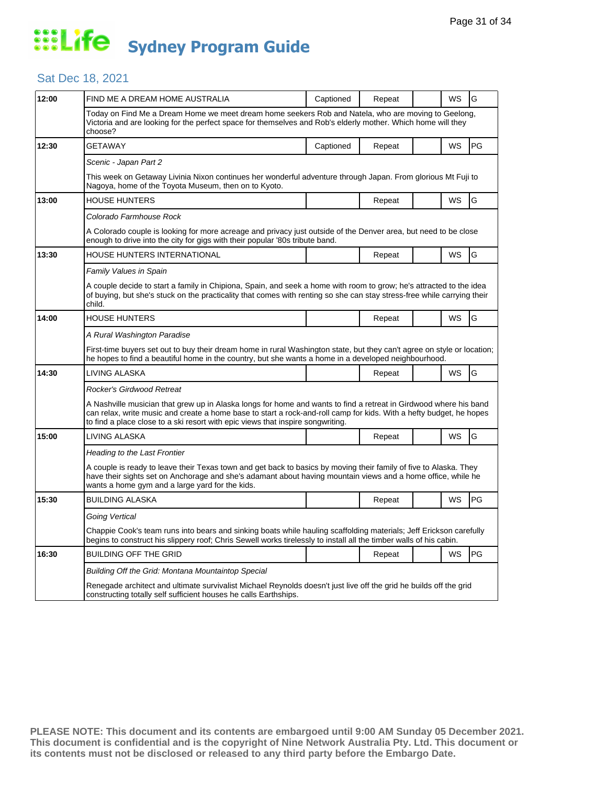#### Sat Dec 18, 2021

| 12:00 | FIND ME A DREAM HOME AUSTRALIA                                                                                                                                                                                                                                                                                              | Captioned | Repeat |  | WS | G  |  |  |
|-------|-----------------------------------------------------------------------------------------------------------------------------------------------------------------------------------------------------------------------------------------------------------------------------------------------------------------------------|-----------|--------|--|----|----|--|--|
|       | Today on Find Me a Dream Home we meet dream home seekers Rob and Natela, who are moving to Geelong,<br>Victoria and are looking for the perfect space for themselves and Rob's elderly mother. Which home will they<br>choose?                                                                                              |           |        |  |    |    |  |  |
| 12:30 | <b>GETAWAY</b>                                                                                                                                                                                                                                                                                                              | Captioned | Repeat |  | WS | PG |  |  |
|       | Scenic - Japan Part 2                                                                                                                                                                                                                                                                                                       |           |        |  |    |    |  |  |
|       | This week on Getaway Livinia Nixon continues her wonderful adventure through Japan. From glorious Mt Fuji to<br>Nagoya, home of the Toyota Museum, then on to Kyoto.                                                                                                                                                        |           |        |  |    |    |  |  |
| 13:00 | <b>HOUSE HUNTERS</b>                                                                                                                                                                                                                                                                                                        |           | Repeat |  | WS | G  |  |  |
|       | Colorado Farmhouse Rock                                                                                                                                                                                                                                                                                                     |           |        |  |    |    |  |  |
|       | A Colorado couple is looking for more acreage and privacy just outside of the Denver area, but need to be close<br>enough to drive into the city for gigs with their popular '80s tribute band.                                                                                                                             |           |        |  |    |    |  |  |
| 13:30 | HOUSE HUNTERS INTERNATIONAL                                                                                                                                                                                                                                                                                                 |           | Repeat |  | WS | G  |  |  |
|       | Family Values in Spain                                                                                                                                                                                                                                                                                                      |           |        |  |    |    |  |  |
|       | A couple decide to start a family in Chipiona, Spain, and seek a home with room to grow; he's attracted to the idea<br>of buying, but she's stuck on the practicality that comes with renting so she can stay stress-free while carrying their<br>child.                                                                    |           |        |  |    |    |  |  |
| 14:00 | <b>HOUSE HUNTERS</b>                                                                                                                                                                                                                                                                                                        |           | Repeat |  | WS | G  |  |  |
|       | A Rural Washington Paradise                                                                                                                                                                                                                                                                                                 |           |        |  |    |    |  |  |
|       | First-time buyers set out to buy their dream home in rural Washington state, but they can't agree on style or location;<br>he hopes to find a beautiful home in the country, but she wants a home in a developed neighbourhood.                                                                                             |           |        |  |    |    |  |  |
| 14:30 | LIVING ALASKA                                                                                                                                                                                                                                                                                                               |           | Repeat |  | WS | G  |  |  |
|       | Rocker's Girdwood Retreat                                                                                                                                                                                                                                                                                                   |           |        |  |    |    |  |  |
|       | A Nashville musician that grew up in Alaska longs for home and wants to find a retreat in Girdwood where his band<br>can relax, write music and create a home base to start a rock-and-roll camp for kids. With a hefty budget, he hopes<br>to find a place close to a ski resort with epic views that inspire songwriting. |           |        |  |    |    |  |  |
| 15:00 | LIVING ALASKA                                                                                                                                                                                                                                                                                                               |           | Repeat |  | WS | G  |  |  |
|       | <b>Heading to the Last Frontier</b>                                                                                                                                                                                                                                                                                         |           |        |  |    |    |  |  |
|       | A couple is ready to leave their Texas town and get back to basics by moving their family of five to Alaska. They<br>have their sights set on Anchorage and she's adamant about having mountain views and a home office, while he<br>wants a home gym and a large yard for the kids.                                        |           |        |  |    |    |  |  |
| 15:30 | <b>BUILDING ALASKA</b>                                                                                                                                                                                                                                                                                                      |           | Repeat |  | WS | PG |  |  |
|       | Going Vertical                                                                                                                                                                                                                                                                                                              |           |        |  |    |    |  |  |
|       | Chappie Cook's team runs into bears and sinking boats while hauling scaffolding materials; Jeff Erickson carefully<br>begins to construct his slippery roof; Chris Sewell works tirelessly to install all the timber walls of his cabin.                                                                                    |           |        |  |    |    |  |  |
| 16:30 | <b>BUILDING OFF THE GRID</b>                                                                                                                                                                                                                                                                                                |           | Repeat |  | WS | PG |  |  |
|       | Building Off the Grid: Montana Mountaintop Special                                                                                                                                                                                                                                                                          |           |        |  |    |    |  |  |
|       | Renegade architect and ultimate survivalist Michael Reynolds doesn't just live off the grid he builds off the grid<br>constructing totally self sufficient houses he calls Earthships.                                                                                                                                      |           |        |  |    |    |  |  |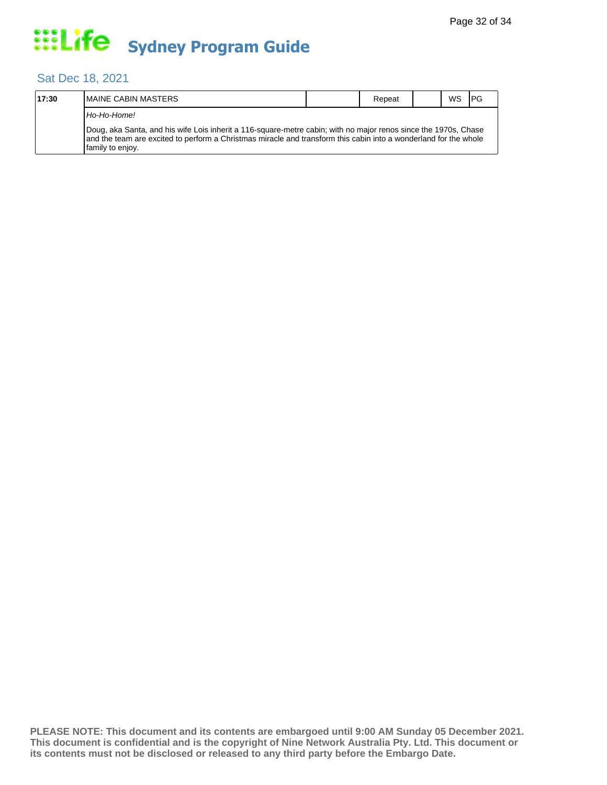#### Sat Dec 18, 2021

| 17:30 | <b>IMAINE CABIN MASTERS</b>                                                                                                                                                                                                                             |  | Repeat |  | <b>WS</b> | I PG |  |  |  |
|-------|---------------------------------------------------------------------------------------------------------------------------------------------------------------------------------------------------------------------------------------------------------|--|--------|--|-----------|------|--|--|--|
|       | Ho-Ho-Home!                                                                                                                                                                                                                                             |  |        |  |           |      |  |  |  |
|       | Doug, aka Santa, and his wife Lois inherit a 116-square-metre cabin; with no major renos since the 1970s, Chase<br>and the team are excited to perform a Christmas miracle and transform this cabin into a wonderland for the whole<br>family to enjoy. |  |        |  |           |      |  |  |  |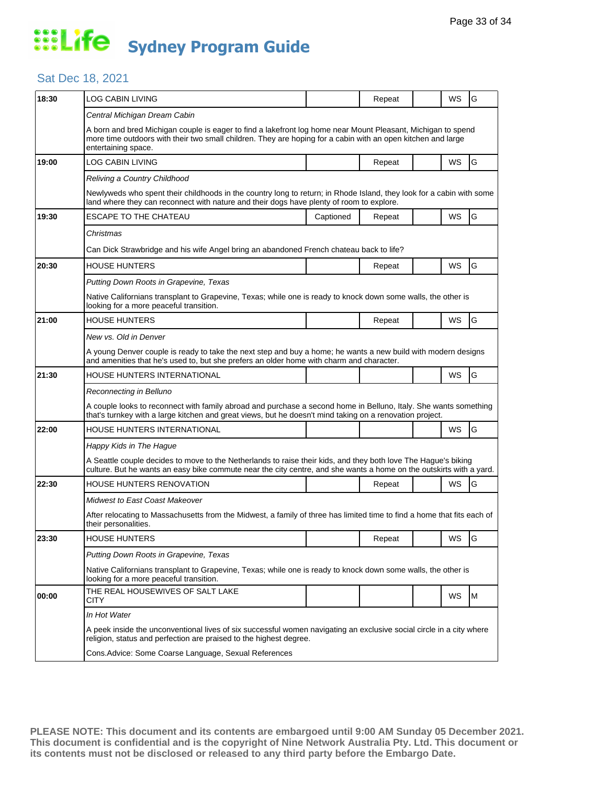#### Sat Dec 18, 2021

| 18:30 | <b>LOG CABIN LIVING</b>                                                                                                                                                                                                                             |           | Repeat |  | WS                                                 | G  |  |  |  |
|-------|-----------------------------------------------------------------------------------------------------------------------------------------------------------------------------------------------------------------------------------------------------|-----------|--------|--|----------------------------------------------------|----|--|--|--|
|       | Central Michigan Dream Cabin                                                                                                                                                                                                                        |           |        |  |                                                    |    |  |  |  |
|       | A born and bred Michigan couple is eager to find a lakefront log home near Mount Pleasant, Michigan to spend<br>more time outdoors with their two small children. They are hoping for a cabin with an open kitchen and large<br>entertaining space. |           |        |  | WS<br>WS<br>WS<br>WS<br>WS<br>WS<br>WS<br>WS<br>WS |    |  |  |  |
| 19:00 | LOG CABIN LIVING                                                                                                                                                                                                                                    |           | Repeat |  |                                                    | G  |  |  |  |
|       | Reliving a Country Childhood                                                                                                                                                                                                                        |           |        |  |                                                    |    |  |  |  |
|       | Newlyweds who spent their childhoods in the country long to return; in Rhode Island, they look for a cabin with some<br>land where they can reconnect with nature and their dogs have plenty of room to explore.                                    |           |        |  |                                                    |    |  |  |  |
| 19:30 | ESCAPE TO THE CHATEAU                                                                                                                                                                                                                               | Captioned | Repeat |  |                                                    | G  |  |  |  |
|       | Christmas                                                                                                                                                                                                                                           |           |        |  |                                                    |    |  |  |  |
|       | Can Dick Strawbridge and his wife Angel bring an abandoned French chateau back to life?                                                                                                                                                             |           |        |  |                                                    |    |  |  |  |
| 20:30 | HOUSE HUNTERS                                                                                                                                                                                                                                       |           | Repeat |  |                                                    | G  |  |  |  |
|       | Putting Down Roots in Grapevine, Texas                                                                                                                                                                                                              |           |        |  |                                                    |    |  |  |  |
|       | Native Californians transplant to Grapevine, Texas; while one is ready to knock down some walls, the other is<br>looking for a more peaceful transition.                                                                                            |           |        |  |                                                    |    |  |  |  |
| 21:00 | HOUSE HUNTERS                                                                                                                                                                                                                                       |           | Repeat |  |                                                    | G  |  |  |  |
|       | New vs. Old in Denver                                                                                                                                                                                                                               |           |        |  |                                                    |    |  |  |  |
|       | A young Denver couple is ready to take the next step and buy a home; he wants a new build with modern designs<br>and amenities that he's used to, but she prefers an older home with charm and character.                                           |           |        |  |                                                    |    |  |  |  |
| 21:30 | HOUSE HUNTERS INTERNATIONAL                                                                                                                                                                                                                         |           |        |  |                                                    | G  |  |  |  |
|       | Reconnecting in Belluno                                                                                                                                                                                                                             |           |        |  |                                                    |    |  |  |  |
|       | A couple looks to reconnect with family abroad and purchase a second home in Belluno, Italy. She wants something<br>that's turnkey with a large kitchen and great views, but he doesn't mind taking on a renovation project.                        |           |        |  |                                                    |    |  |  |  |
| 22:00 | HOUSE HUNTERS INTERNATIONAL                                                                                                                                                                                                                         |           |        |  |                                                    | G  |  |  |  |
|       | Happy Kids in The Hague                                                                                                                                                                                                                             |           |        |  |                                                    |    |  |  |  |
|       | A Seattle couple decides to move to the Netherlands to raise their kids, and they both love The Hague's biking<br>culture. But he wants an easy bike commute near the city centre, and she wants a home on the outskirts with a yard.               |           |        |  |                                                    |    |  |  |  |
| 22:30 | HOUSE HUNTERS RENOVATION                                                                                                                                                                                                                            |           | Repeat |  |                                                    | G  |  |  |  |
|       | Midwest to East Coast Makeover                                                                                                                                                                                                                      |           |        |  |                                                    |    |  |  |  |
|       | After relocating to Massachusetts from the Midwest, a family of three has limited time to find a home that fits each of<br>their personalities.                                                                                                     |           |        |  |                                                    |    |  |  |  |
| 23:30 | <b>HOUSE HUNTERS</b>                                                                                                                                                                                                                                |           | Repeat |  |                                                    | lG |  |  |  |
|       | Putting Down Roots in Grapevine, Texas                                                                                                                                                                                                              |           |        |  |                                                    |    |  |  |  |
|       | Native Californians transplant to Grapevine, Texas; while one is ready to knock down some walls, the other is<br>looking for a more peaceful transition.                                                                                            |           |        |  |                                                    |    |  |  |  |
| 00:00 | THE REAL HOUSEWIVES OF SALT LAKE<br>CITY                                                                                                                                                                                                            |           |        |  |                                                    | М  |  |  |  |
|       | In Hot Water                                                                                                                                                                                                                                        |           |        |  |                                                    |    |  |  |  |
|       | A peek inside the unconventional lives of six successful women navigating an exclusive social circle in a city where<br>religion, status and perfection are praised to the highest degree.                                                          |           |        |  |                                                    |    |  |  |  |
|       | Cons. Advice: Some Coarse Language, Sexual References                                                                                                                                                                                               |           |        |  |                                                    |    |  |  |  |